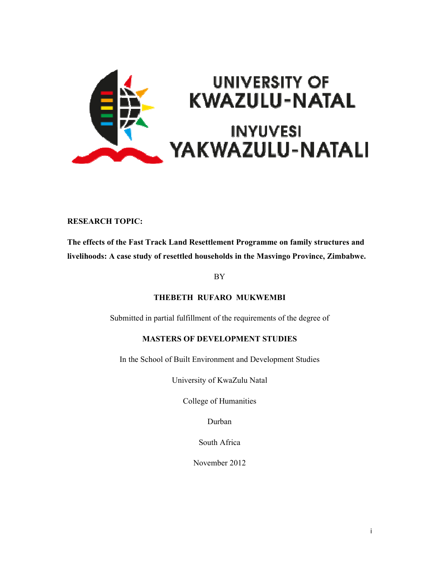

#### RESEARCH TOPIC:

The effects of the Fast Track Land Resettlement Programme on family structures and livelihoods: A case study of resettled households in the Masvingo Province, Zimbabwe.

BY

#### THEBETH RUFARO MUKWEMBI

Submitted in partial fulfillment of the requirements of the degree of

#### MASTERS OF DEVELOPMENT STUDIES

In the School of Built Environment and Development Studies

University of KwaZulu Natal

College of Humanities

Durban

South Africa

November 2012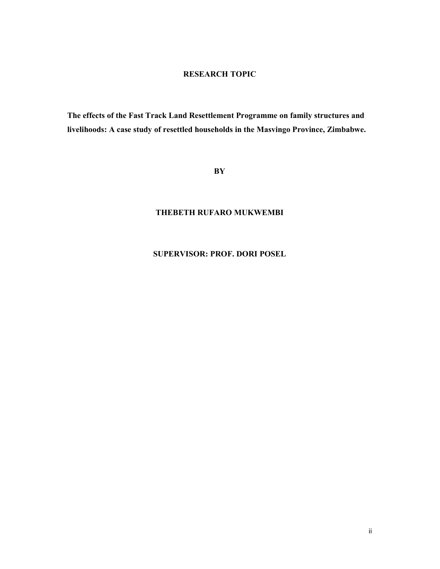#### RESEARCH TOPIC

The effects of the Fast Track Land Resettlement Programme on family structures and livelihoods: A case study of resettled households in the Masvingo Province, Zimbabwe.

#### BY

#### THEBETH RUFARO MUKWEMBI

#### SUPERVISOR: PROF. DORI POSEL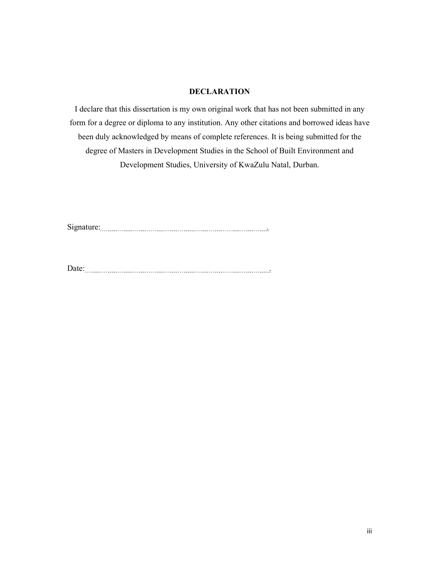#### DECLARATION

I declare that this dissertation is my own original work that has not been submitted in any form for a degree or diploma to any institution. Any other citations and borrowed ideas have been duly acknowledged by means of complete references. It is being submitted for the degree of Masters in Development Studies in the School of Built Environment and Development Studies, University of KwaZulu Natal, Durban.

Signature: .

Date: .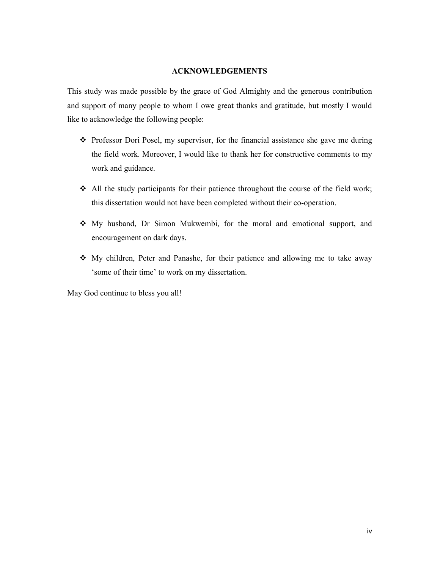#### ACKNOWLEDGEMENTS

This study was made possible by the grace of God Almighty and the generous contribution and support of many people to whom I owe great thanks and gratitude, but mostly I would like to acknowledge the following people:

- Professor Dori Posel, my supervisor, for the financial assistance she gave me during the field work. Moreover, I would like to thank her for constructive comments to my work and guidance.
- $\triangleleft$  All the study participants for their patience throughout the course of the field work; this dissertation would not have been completed without their co-operation.
- My husband, Dr Simon Mukwembi, for the moral and emotional support, and encouragement on dark days.
- My children, Peter and Panashe, for their patience and allowing me to take away 'some of their time' to work on my dissertation.

May God continue to bless you all!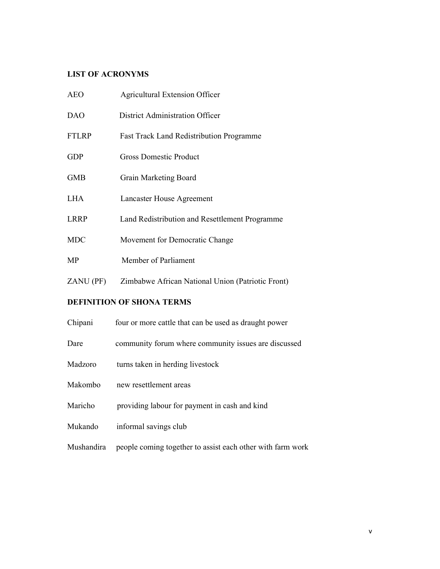### LIST OF ACRONYMS

| <b>AEO</b>   | <b>Agricultural Extension Officer</b>             |
|--------------|---------------------------------------------------|
| <b>DAO</b>   | District Administration Officer                   |
| <b>FTLRP</b> | <b>Fast Track Land Redistribution Programme</b>   |
| <b>GDP</b>   | <b>Gross Domestic Product</b>                     |
| <b>GMB</b>   | Grain Marketing Board                             |
| <b>LHA</b>   | Lancaster House Agreement                         |
| <b>LRRP</b>  | Land Redistribution and Resettlement Programme    |
| <b>MDC</b>   | Movement for Democratic Change                    |
| MP           | Member of Parliament                              |
| ZANU (PF)    | Zimbabwe African National Union (Patriotic Front) |

## DEFINITION OF SHONA TERMS

| Chipani    | four or more cattle that can be used as draught power      |
|------------|------------------------------------------------------------|
| Dare       | community forum where community issues are discussed       |
| Madzoro    | turns taken in herding livestock                           |
| Makombo    | new resettlement areas                                     |
| Maricho    | providing labour for payment in cash and kind              |
| Mukando    | informal savings club                                      |
| Mushandira | people coming together to assist each other with farm work |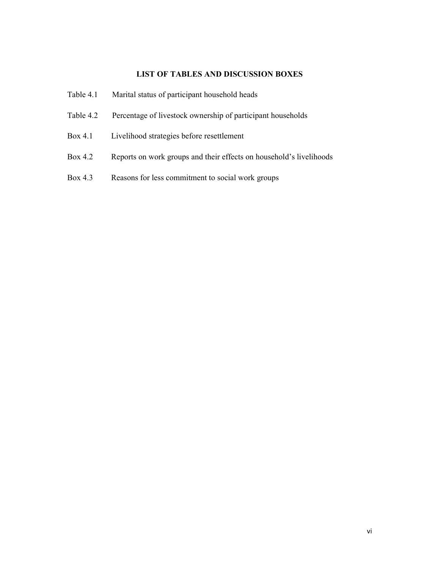#### LIST OF TABLES AND DISCUSSION BOXES

- Table 4.1 Marital status of participant household heads
- Table 4.2 Percentage of livestock ownership of participant households
- Box 4.1 Livelihood strategies before resettlement
- Box 4.2 Reports on work groups and their effects on household's livelihoods
- Box 4.3 Reasons for less commitment to social work groups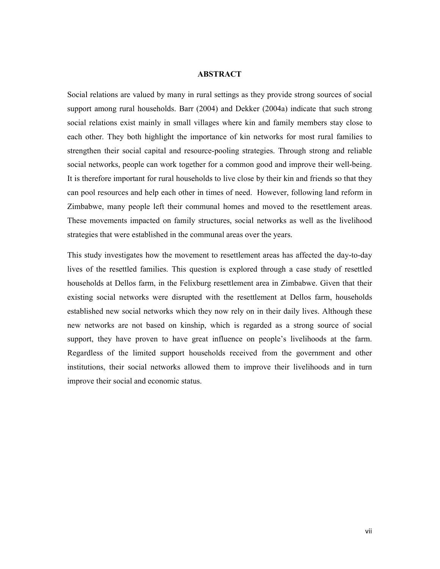#### ABSTRACT

Social relations are valued by many in rural settings as they provide strong sources of social support among rural households. Barr (2004) and Dekker (2004a) indicate that such strong social relations exist mainly in small villages where kin and family members stay close to each other. They both highlight the importance of kin networks for most rural families to strengthen their social capital and resource-pooling strategies. Through strong and reliable social networks, people can work together for a common good and improve their well-being. It is therefore important for rural households to live close by their kin and friends so that they can pool resources and help each other in times of need. However, following land reform in Zimbabwe, many people left their communal homes and moved to the resettlement areas. These movements impacted on family structures, social networks as well as the livelihood strategies that were established in the communal areas over the years.

This study investigates how the movement to resettlement areas has affected the day-to-day lives of the resettled families. This question is explored through a case study of resettled households at Dellos farm, in the Felixburg resettlement area in Zimbabwe. Given that their existing social networks were disrupted with the resettlement at Dellos farm, households established new social networks which they now rely on in their daily lives. Although these new networks are not based on kinship, which is regarded as a strong source of social support, they have proven to have great influence on people's livelihoods at the farm. Regardless of the limited support households received from the government and other institutions, their social networks allowed them to improve their livelihoods and in turn improve their social and economic status.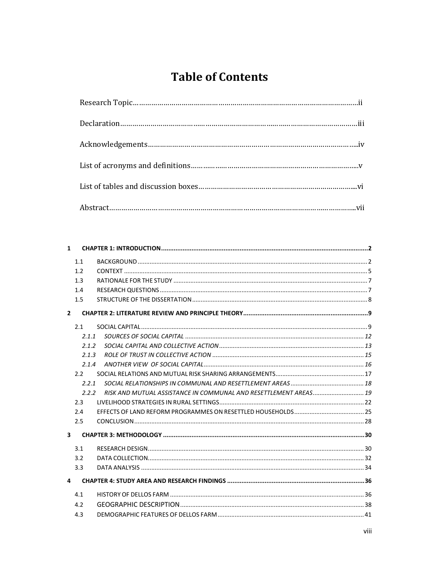# **Table of Contents**

| $\mathbf{1}$            |       |                                                                  |  |  |
|-------------------------|-------|------------------------------------------------------------------|--|--|
|                         | 1.1   |                                                                  |  |  |
|                         | 1.2   |                                                                  |  |  |
|                         | 1.3   |                                                                  |  |  |
|                         | 1.4   |                                                                  |  |  |
|                         | 1.5   |                                                                  |  |  |
| $\overline{2}$          |       |                                                                  |  |  |
|                         | 2.1   |                                                                  |  |  |
|                         | 2.1.1 |                                                                  |  |  |
|                         | 2.1.2 |                                                                  |  |  |
|                         | 2.1.3 |                                                                  |  |  |
|                         | 2.1.4 |                                                                  |  |  |
|                         | 2.2   |                                                                  |  |  |
|                         | 2.2.1 |                                                                  |  |  |
|                         | 2.2.2 | RISK AND MUTUAL ASSISTANCE IN COMMUNAL AND RESETTLEMENT AREAS 19 |  |  |
|                         | 2.3   |                                                                  |  |  |
|                         | 2.4   |                                                                  |  |  |
|                         | 2.5   |                                                                  |  |  |
| $\overline{\mathbf{3}}$ |       |                                                                  |  |  |
|                         | 3.1   |                                                                  |  |  |
|                         | 3.2   |                                                                  |  |  |
|                         | 3.3   |                                                                  |  |  |
| 4                       |       |                                                                  |  |  |
|                         | 4.1   |                                                                  |  |  |
|                         | 4.2   |                                                                  |  |  |
|                         | 4.3   |                                                                  |  |  |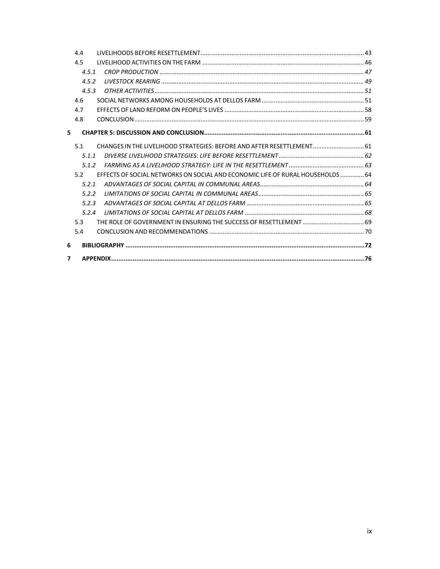| 7 |       |                                                                                |  |
|---|-------|--------------------------------------------------------------------------------|--|
| 6 |       |                                                                                |  |
|   | 5.4   |                                                                                |  |
|   | 5.3   | THE ROLE OF GOVERNMENT IN ENSURING THE SUCCESS OF RESETTLEMENT  69             |  |
|   | 5.2.4 |                                                                                |  |
|   | 5.2.3 |                                                                                |  |
|   | 5.2.2 |                                                                                |  |
|   | 5.2.1 |                                                                                |  |
|   | 5.2   | EFFECTS OF SOCIAL NETWORKS ON SOCIAL AND ECONOMIC LIFE OF RURAL HOUSEHOLDS  64 |  |
|   | 5.1.2 |                                                                                |  |
|   | 5.1.1 |                                                                                |  |
|   | 5.1   | CHANGES IN THE LIVELIHOOD STRATEGIES: BEFORE AND AFTER RESETTLEMENT 61         |  |
| 5 |       |                                                                                |  |
|   | 4.8   |                                                                                |  |
|   | 4.7   |                                                                                |  |
|   | 4.6   |                                                                                |  |
|   | 4.5.3 |                                                                                |  |
|   | 4.5.2 |                                                                                |  |
|   | 4.5.1 |                                                                                |  |
|   | 4.5   |                                                                                |  |
|   | 4.4   |                                                                                |  |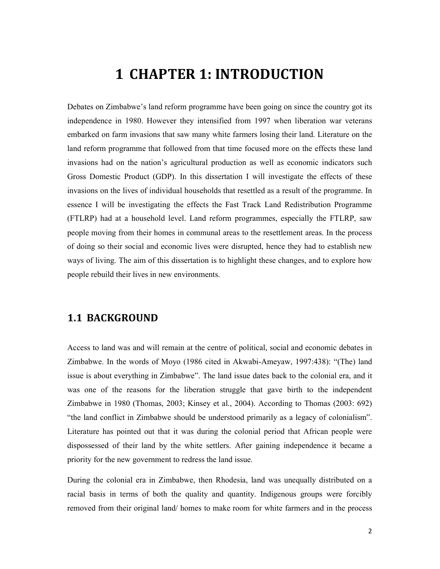# 1 CHAPTER 1: INTRODUCTION

Debates on Zimbabwe's land reform programme have been going on since the country got its independence in 1980. However they intensified from 1997 when liberation war veterans embarked on farm invasions that saw many white farmers losing their land. Literature on the land reform programme that followed from that time focused more on the effects these land invasions had on the nation's agricultural production as well as economic indicators such Gross Domestic Product (GDP). In this dissertation I will investigate the effects of these invasions on the lives of individual households that resettled as a result of the programme. In essence I will be investigating the effects the Fast Track Land Redistribution Programme (FTLRP) had at a household level. Land reform programmes, especially the FTLRP, saw people moving from their homes in communal areas to the resettlement areas. In the process of doing so their social and economic lives were disrupted, hence they had to establish new ways of living. The aim of this dissertation is to highlight these changes, and to explore how people rebuild their lives in new environments.

## 1.1 BACKGROUND

Access to land was and will remain at the centre of political, social and economic debates in Zimbabwe. In the words of Moyo (1986 cited in Akwabi-Ameyaw, 1997:438): "(The) land issue is about everything in Zimbabwe". The land issue dates back to the colonial era, and it was one of the reasons for the liberation struggle that gave birth to the independent Zimbabwe in 1980 (Thomas, 2003; Kinsey et al., 2004). According to Thomas (2003: 692) "the land conflict in Zimbabwe should be understood primarily as a legacy of colonialism". Literature has pointed out that it was during the colonial period that African people were dispossessed of their land by the white settlers. After gaining independence it became a priority for the new government to redress the land issue.

During the colonial era in Zimbabwe, then Rhodesia, land was unequally distributed on a racial basis in terms of both the quality and quantity. Indigenous groups were forcibly removed from their original land/ homes to make room for white farmers and in the process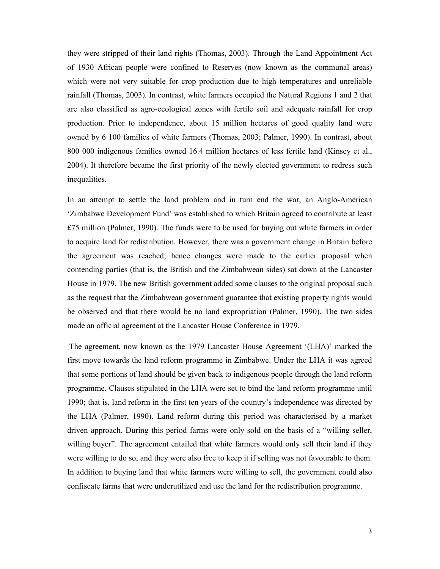they were stripped of their land rights (Thomas, 2003). Through the Land Appointment Act of 1930 African people were confined to Reserves (now known as the communal areas) which were not very suitable for crop production due to high temperatures and unreliable rainfall (Thomas, 2003). In contrast, white farmers occupied the Natural Regions 1 and 2 that are also classified as agro-ecological zones with fertile soil and adequate rainfall for crop production. Prior to independence, about 15 million hectares of good quality land were owned by 6 100 families of white farmers (Thomas, 2003; Palmer, 1990). In contrast, about 800 000 indigenous families owned 16.4 million hectares of less fertile land (Kinsey et al., 2004). It therefore became the first priority of the newly elected government to redress such inequalities.

In an attempt to settle the land problem and in turn end the war, an Anglo-American 'Zimbabwe Development Fund' was established to which Britain agreed to contribute at least £75 million (Palmer, 1990). The funds were to be used for buying out white farmers in order to acquire land for redistribution. However, there was a government change in Britain before the agreement was reached; hence changes were made to the earlier proposal when contending parties (that is, the British and the Zimbabwean sides) sat down at the Lancaster House in 1979. The new British government added some clauses to the original proposal such as the request that the Zimbabwean government guarantee that existing property rights would be observed and that there would be no land expropriation (Palmer, 1990). The two sides made an official agreement at the Lancaster House Conference in 1979.

 The agreement, now known as the 1979 Lancaster House Agreement '(LHA)' marked the first move towards the land reform programme in Zimbabwe. Under the LHA it was agreed that some portions of land should be given back to indigenous people through the land reform programme. Clauses stipulated in the LHA were set to bind the land reform programme until 1990; that is, land reform in the first ten years of the country's independence was directed by the LHA (Palmer, 1990). Land reform during this period was characterised by a market driven approach. During this period farms were only sold on the basis of a "willing seller, willing buyer". The agreement entailed that white farmers would only sell their land if they were willing to do so, and they were also free to keep it if selling was not favourable to them. In addition to buying land that white farmers were willing to sell, the government could also confiscate farms that were underutilized and use the land for the redistribution programme.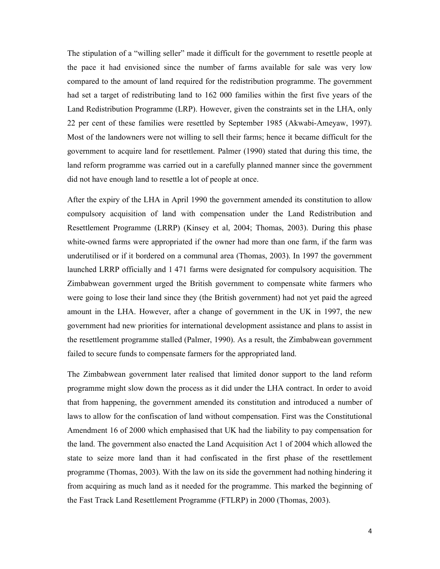The stipulation of a "willing seller" made it difficult for the government to resettle people at the pace it had envisioned since the number of farms available for sale was very low compared to the amount of land required for the redistribution programme. The government had set a target of redistributing land to 162 000 families within the first five years of the Land Redistribution Programme (LRP). However, given the constraints set in the LHA, only 22 per cent of these families were resettled by September 1985 (Akwabi-Ameyaw, 1997). Most of the landowners were not willing to sell their farms; hence it became difficult for the government to acquire land for resettlement. Palmer (1990) stated that during this time, the land reform programme was carried out in a carefully planned manner since the government did not have enough land to resettle a lot of people at once.

After the expiry of the LHA in April 1990 the government amended its constitution to allow compulsory acquisition of land with compensation under the Land Redistribution and Resettlement Programme (LRRP) (Kinsey et al, 2004; Thomas, 2003). During this phase white-owned farms were appropriated if the owner had more than one farm, if the farm was underutilised or if it bordered on a communal area (Thomas, 2003). In 1997 the government launched LRRP officially and 1 471 farms were designated for compulsory acquisition. The Zimbabwean government urged the British government to compensate white farmers who were going to lose their land since they (the British government) had not yet paid the agreed amount in the LHA. However, after a change of government in the UK in 1997, the new government had new priorities for international development assistance and plans to assist in the resettlement programme stalled (Palmer, 1990). As a result, the Zimbabwean government failed to secure funds to compensate farmers for the appropriated land.

The Zimbabwean government later realised that limited donor support to the land reform programme might slow down the process as it did under the LHA contract. In order to avoid that from happening, the government amended its constitution and introduced a number of laws to allow for the confiscation of land without compensation. First was the Constitutional Amendment 16 of 2000 which emphasised that UK had the liability to pay compensation for the land. The government also enacted the Land Acquisition Act 1 of 2004 which allowed the state to seize more land than it had confiscated in the first phase of the resettlement programme (Thomas, 2003). With the law on its side the government had nothing hindering it from acquiring as much land as it needed for the programme. This marked the beginning of the Fast Track Land Resettlement Programme (FTLRP) in 2000 (Thomas, 2003).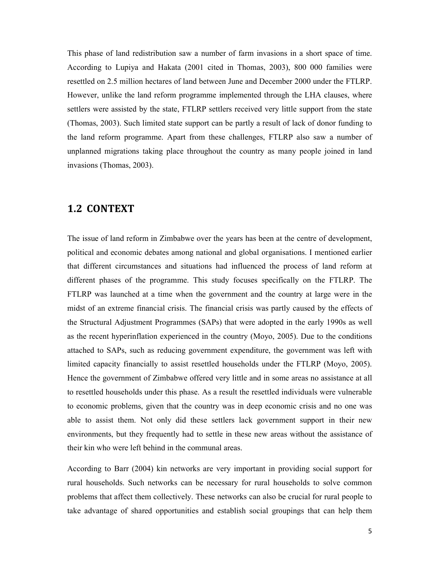This phase of land redistribution saw a number of farm invasions in a short space of time. According to Lupiya and Hakata (2001 cited in Thomas, 2003), 800 000 families were resettled on 2.5 million hectares of land between June and December 2000 under the FTLRP. However, unlike the land reform programme implemented through the LHA clauses, where settlers were assisted by the state, FTLRP settlers received very little support from the state (Thomas, 2003). Such limited state support can be partly a result of lack of donor funding to the land reform programme. Apart from these challenges, FTLRP also saw a number of unplanned migrations taking place throughout the country as many people joined in land invasions (Thomas, 2003).

### 1.2 CONTEXT

The issue of land reform in Zimbabwe over the years has been at the centre of development, political and economic debates among national and global organisations. I mentioned earlier that different circumstances and situations had influenced the process of land reform at different phases of the programme. This study focuses specifically on the FTLRP. The FTLRP was launched at a time when the government and the country at large were in the midst of an extreme financial crisis. The financial crisis was partly caused by the effects of the Structural Adjustment Programmes (SAPs) that were adopted in the early 1990s as well as the recent hyperinflation experienced in the country (Moyo, 2005). Due to the conditions attached to SAPs, such as reducing government expenditure, the government was left with limited capacity financially to assist resettled households under the FTLRP (Moyo, 2005). Hence the government of Zimbabwe offered very little and in some areas no assistance at all to resettled households under this phase. As a result the resettled individuals were vulnerable to economic problems, given that the country was in deep economic crisis and no one was able to assist them. Not only did these settlers lack government support in their new environments, but they frequently had to settle in these new areas without the assistance of their kin who were left behind in the communal areas.

According to Barr (2004) kin networks are very important in providing social support for rural households. Such networks can be necessary for rural households to solve common problems that affect them collectively. These networks can also be crucial for rural people to take advantage of shared opportunities and establish social groupings that can help them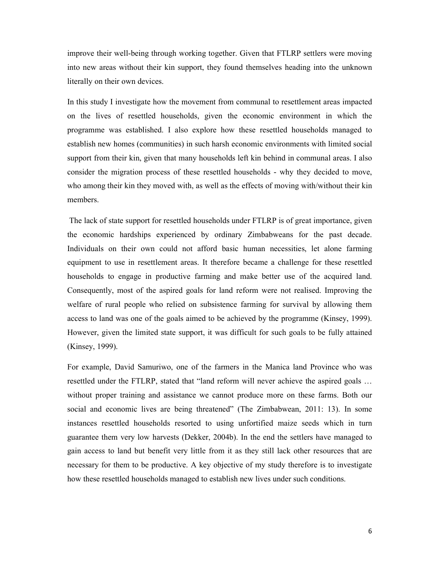improve their well-being through working together. Given that FTLRP settlers were moving into new areas without their kin support, they found themselves heading into the unknown literally on their own devices.

In this study I investigate how the movement from communal to resettlement areas impacted on the lives of resettled households, given the economic environment in which the programme was established. I also explore how these resettled households managed to establish new homes (communities) in such harsh economic environments with limited social support from their kin, given that many households left kin behind in communal areas. I also consider the migration process of these resettled households - why they decided to move, who among their kin they moved with, as well as the effects of moving with/without their kin members.

 The lack of state support for resettled households under FTLRP is of great importance, given the economic hardships experienced by ordinary Zimbabweans for the past decade. Individuals on their own could not afford basic human necessities, let alone farming equipment to use in resettlement areas. It therefore became a challenge for these resettled households to engage in productive farming and make better use of the acquired land. Consequently, most of the aspired goals for land reform were not realised. Improving the welfare of rural people who relied on subsistence farming for survival by allowing them access to land was one of the goals aimed to be achieved by the programme (Kinsey, 1999). However, given the limited state support, it was difficult for such goals to be fully attained (Kinsey, 1999).

For example, David Samuriwo, one of the farmers in the Manica land Province who was resettled under the FTLRP, stated that "land reform will never achieve the aspired goals … without proper training and assistance we cannot produce more on these farms. Both our social and economic lives are being threatened" (The Zimbabwean, 2011: 13). In some instances resettled households resorted to using unfortified maize seeds which in turn guarantee them very low harvests (Dekker, 2004b). In the end the settlers have managed to gain access to land but benefit very little from it as they still lack other resources that are necessary for them to be productive. A key objective of my study therefore is to investigate how these resettled households managed to establish new lives under such conditions.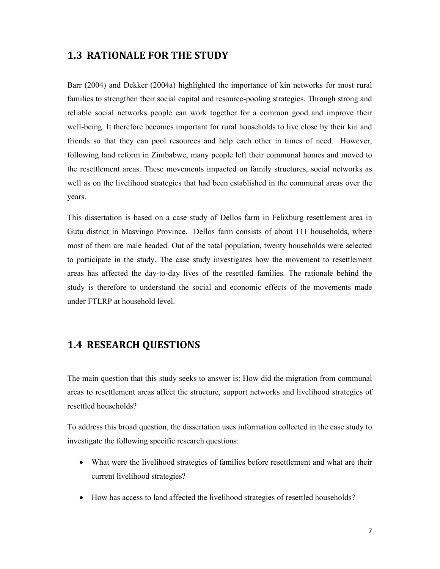## 1.3 RATIONALE FOR THE STUDY

Barr (2004) and Dekker (2004a) highlighted the importance of kin networks for most rural families to strengthen their social capital and resource-pooling strategies. Through strong and reliable social networks people can work together for a common good and improve their well-being. It therefore becomes important for rural households to live close by their kin and friends so that they can pool resources and help each other in times of need. However, following land reform in Zimbabwe, many people left their communal homes and moved to the resettlement areas. These movements impacted on family structures, social networks as well as on the livelihood strategies that had been established in the communal areas over the years.

This dissertation is based on a case study of Dellos farm in Felixburg resettlement area in Gutu district in Masvingo Province. Dellos farm consists of about 111 households, where most of them are male headed. Out of the total population, twenty households were selected to participate in the study. The case study investigates how the movement to resettlement areas has affected the day-to-day lives of the resettled families. The rationale behind the study is therefore to understand the social and economic effects of the movements made under FTLRP at household level.

## 1.4 RESEARCH QUESTIONS

The main question that this study seeks to answer is: How did the migration from communal areas to resettlement areas affect the structure, support networks and livelihood strategies of resettled households?

To address this broad question, the dissertation uses information collected in the case study to investigate the following specific research questions:

- What were the livelihood strategies of families before resettlement and what are their current livelihood strategies?
- How has access to land affected the livelihood strategies of resettled households?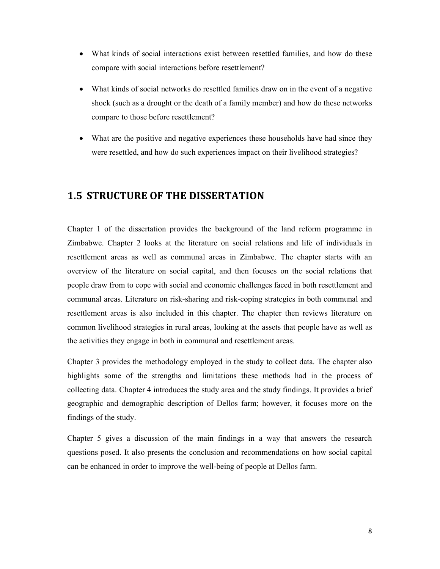- What kinds of social interactions exist between resettled families, and how do these compare with social interactions before resettlement?
- What kinds of social networks do resettled families draw on in the event of a negative shock (such as a drought or the death of a family member) and how do these networks compare to those before resettlement?
- What are the positive and negative experiences these households have had since they were resettled, and how do such experiences impact on their livelihood strategies?

## 1.5 STRUCTURE OF THE DISSERTATION

Chapter 1 of the dissertation provides the background of the land reform programme in Zimbabwe. Chapter 2 looks at the literature on social relations and life of individuals in resettlement areas as well as communal areas in Zimbabwe. The chapter starts with an overview of the literature on social capital, and then focuses on the social relations that people draw from to cope with social and economic challenges faced in both resettlement and communal areas. Literature on risk-sharing and risk-coping strategies in both communal and resettlement areas is also included in this chapter. The chapter then reviews literature on common livelihood strategies in rural areas, looking at the assets that people have as well as the activities they engage in both in communal and resettlement areas.

Chapter 3 provides the methodology employed in the study to collect data. The chapter also highlights some of the strengths and limitations these methods had in the process of collecting data. Chapter 4 introduces the study area and the study findings. It provides a brief geographic and demographic description of Dellos farm; however, it focuses more on the findings of the study.

Chapter 5 gives a discussion of the main findings in a way that answers the research questions posed. It also presents the conclusion and recommendations on how social capital can be enhanced in order to improve the well-being of people at Dellos farm.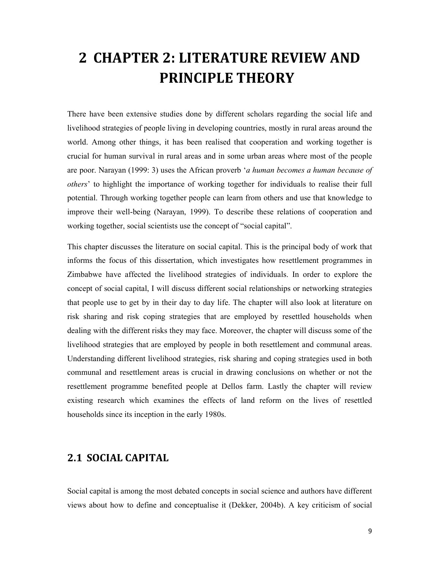# 2 CHAPTER 2: LITERATURE REVIEW AND PRINCIPLE THEORY

There have been extensive studies done by different scholars regarding the social life and livelihood strategies of people living in developing countries, mostly in rural areas around the world. Among other things, it has been realised that cooperation and working together is crucial for human survival in rural areas and in some urban areas where most of the people are poor. Narayan (1999: 3) uses the African proverb 'a human becomes a human because of others' to highlight the importance of working together for individuals to realise their full potential. Through working together people can learn from others and use that knowledge to improve their well-being (Narayan, 1999). To describe these relations of cooperation and working together, social scientists use the concept of "social capital".

This chapter discusses the literature on social capital. This is the principal body of work that informs the focus of this dissertation, which investigates how resettlement programmes in Zimbabwe have affected the livelihood strategies of individuals. In order to explore the concept of social capital, I will discuss different social relationships or networking strategies that people use to get by in their day to day life. The chapter will also look at literature on risk sharing and risk coping strategies that are employed by resettled households when dealing with the different risks they may face. Moreover, the chapter will discuss some of the livelihood strategies that are employed by people in both resettlement and communal areas. Understanding different livelihood strategies, risk sharing and coping strategies used in both communal and resettlement areas is crucial in drawing conclusions on whether or not the resettlement programme benefited people at Dellos farm. Lastly the chapter will review existing research which examines the effects of land reform on the lives of resettled households since its inception in the early 1980s.

## 2.1 SOCIAL CAPITAL

Social capital is among the most debated concepts in social science and authors have different views about how to define and conceptualise it (Dekker, 2004b). A key criticism of social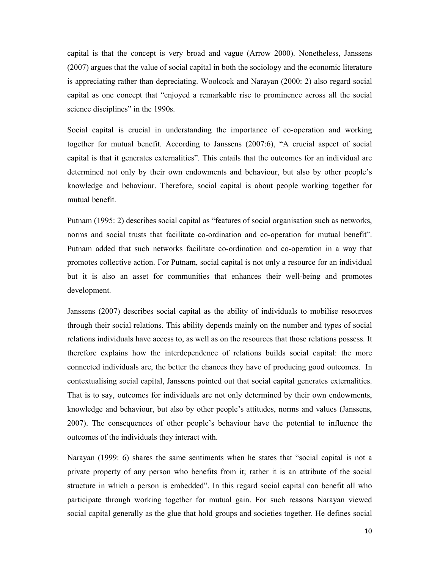capital is that the concept is very broad and vague (Arrow 2000). Nonetheless, Janssens (2007) argues that the value of social capital in both the sociology and the economic literature is appreciating rather than depreciating. Woolcock and Narayan (2000: 2) also regard social capital as one concept that "enjoyed a remarkable rise to prominence across all the social science disciplines" in the 1990s.

Social capital is crucial in understanding the importance of co-operation and working together for mutual benefit. According to Janssens (2007:6), "A crucial aspect of social capital is that it generates externalities". This entails that the outcomes for an individual are determined not only by their own endowments and behaviour, but also by other people's knowledge and behaviour. Therefore, social capital is about people working together for mutual benefit.

Putnam (1995: 2) describes social capital as "features of social organisation such as networks, norms and social trusts that facilitate co-ordination and co-operation for mutual benefit". Putnam added that such networks facilitate co-ordination and co-operation in a way that promotes collective action. For Putnam, social capital is not only a resource for an individual but it is also an asset for communities that enhances their well-being and promotes development.

Janssens (2007) describes social capital as the ability of individuals to mobilise resources through their social relations. This ability depends mainly on the number and types of social relations individuals have access to, as well as on the resources that those relations possess. It therefore explains how the interdependence of relations builds social capital: the more connected individuals are, the better the chances they have of producing good outcomes. In contextualising social capital, Janssens pointed out that social capital generates externalities. That is to say, outcomes for individuals are not only determined by their own endowments, knowledge and behaviour, but also by other people's attitudes, norms and values (Janssens, 2007). The consequences of other people's behaviour have the potential to influence the outcomes of the individuals they interact with.

Narayan (1999: 6) shares the same sentiments when he states that "social capital is not a private property of any person who benefits from it; rather it is an attribute of the social structure in which a person is embedded". In this regard social capital can benefit all who participate through working together for mutual gain. For such reasons Narayan viewed social capital generally as the glue that hold groups and societies together. He defines social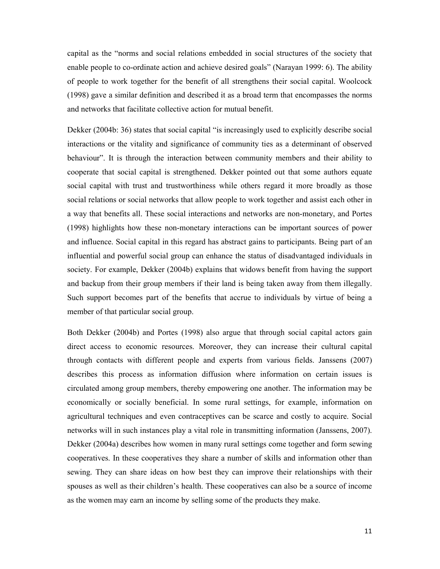capital as the "norms and social relations embedded in social structures of the society that enable people to co-ordinate action and achieve desired goals" (Narayan 1999: 6). The ability of people to work together for the benefit of all strengthens their social capital. Woolcock (1998) gave a similar definition and described it as a broad term that encompasses the norms and networks that facilitate collective action for mutual benefit.

Dekker (2004b: 36) states that social capital "is increasingly used to explicitly describe social interactions or the vitality and significance of community ties as a determinant of observed behaviour". It is through the interaction between community members and their ability to cooperate that social capital is strengthened. Dekker pointed out that some authors equate social capital with trust and trustworthiness while others regard it more broadly as those social relations or social networks that allow people to work together and assist each other in a way that benefits all. These social interactions and networks are non-monetary, and Portes (1998) highlights how these non-monetary interactions can be important sources of power and influence. Social capital in this regard has abstract gains to participants. Being part of an influential and powerful social group can enhance the status of disadvantaged individuals in society. For example, Dekker (2004b) explains that widows benefit from having the support and backup from their group members if their land is being taken away from them illegally. Such support becomes part of the benefits that accrue to individuals by virtue of being a member of that particular social group.

Both Dekker (2004b) and Portes (1998) also argue that through social capital actors gain direct access to economic resources. Moreover, they can increase their cultural capital through contacts with different people and experts from various fields. Janssens (2007) describes this process as information diffusion where information on certain issues is circulated among group members, thereby empowering one another. The information may be economically or socially beneficial. In some rural settings, for example, information on agricultural techniques and even contraceptives can be scarce and costly to acquire. Social networks will in such instances play a vital role in transmitting information (Janssens, 2007). Dekker (2004a) describes how women in many rural settings come together and form sewing cooperatives. In these cooperatives they share a number of skills and information other than sewing. They can share ideas on how best they can improve their relationships with their spouses as well as their children's health. These cooperatives can also be a source of income as the women may earn an income by selling some of the products they make.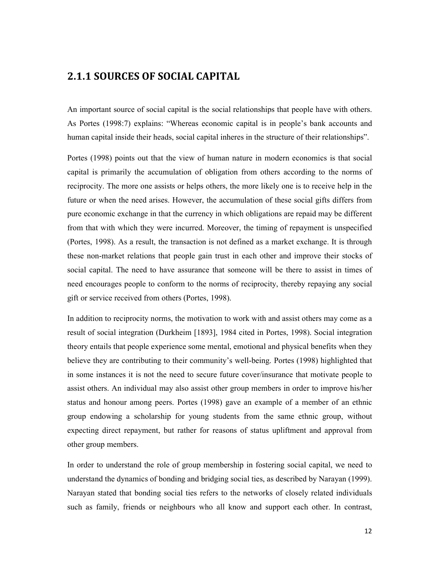## 2.1.1 SOURCES OF SOCIAL CAPITAL

An important source of social capital is the social relationships that people have with others. As Portes (1998:7) explains: "Whereas economic capital is in people's bank accounts and human capital inside their heads, social capital inheres in the structure of their relationships".

Portes (1998) points out that the view of human nature in modern economics is that social capital is primarily the accumulation of obligation from others according to the norms of reciprocity. The more one assists or helps others, the more likely one is to receive help in the future or when the need arises. However, the accumulation of these social gifts differs from pure economic exchange in that the currency in which obligations are repaid may be different from that with which they were incurred. Moreover, the timing of repayment is unspecified (Portes, 1998). As a result, the transaction is not defined as a market exchange. It is through these non-market relations that people gain trust in each other and improve their stocks of social capital. The need to have assurance that someone will be there to assist in times of need encourages people to conform to the norms of reciprocity, thereby repaying any social gift or service received from others (Portes, 1998).

In addition to reciprocity norms, the motivation to work with and assist others may come as a result of social integration (Durkheim [1893], 1984 cited in Portes, 1998). Social integration theory entails that people experience some mental, emotional and physical benefits when they believe they are contributing to their community's well-being. Portes (1998) highlighted that in some instances it is not the need to secure future cover/insurance that motivate people to assist others. An individual may also assist other group members in order to improve his/her status and honour among peers. Portes (1998) gave an example of a member of an ethnic group endowing a scholarship for young students from the same ethnic group, without expecting direct repayment, but rather for reasons of status upliftment and approval from other group members.

In order to understand the role of group membership in fostering social capital, we need to understand the dynamics of bonding and bridging social ties, as described by Narayan (1999). Narayan stated that bonding social ties refers to the networks of closely related individuals such as family, friends or neighbours who all know and support each other. In contrast,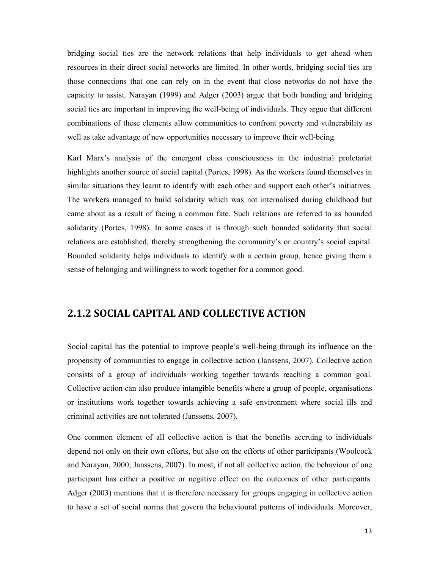bridging social ties are the network relations that help individuals to get ahead when resources in their direct social networks are limited. In other words, bridging social ties are those connections that one can rely on in the event that close networks do not have the capacity to assist. Narayan (1999) and Adger (2003) argue that both bonding and bridging social ties are important in improving the well-being of individuals. They argue that different combinations of these elements allow communities to confront poverty and vulnerability as well as take advantage of new opportunities necessary to improve their well-being.

Karl Marx's analysis of the emergent class consciousness in the industrial proletariat highlights another source of social capital (Portes, 1998). As the workers found themselves in similar situations they learnt to identify with each other and support each other's initiatives. The workers managed to build solidarity which was not internalised during childhood but came about as a result of facing a common fate. Such relations are referred to as bounded solidarity (Portes, 1998). In some cases it is through such bounded solidarity that social relations are established, thereby strengthening the community's or country's social capital. Bounded solidarity helps individuals to identify with a certain group, hence giving them a sense of belonging and willingness to work together for a common good.

## 2.1.2 SOCIAL CAPITAL AND COLLECTIVE ACTION

Social capital has the potential to improve people's well-being through its influence on the propensity of communities to engage in collective action (Janssens, 2007). Collective action consists of a group of individuals working together towards reaching a common goal. Collective action can also produce intangible benefits where a group of people, organisations or institutions work together towards achieving a safe environment where social ills and criminal activities are not tolerated (Janssens, 2007).

One common element of all collective action is that the benefits accruing to individuals depend not only on their own efforts, but also on the efforts of other participants (Woolcock and Narayan, 2000; Janssens, 2007). In most, if not all collective action, the behaviour of one participant has either a positive or negative effect on the outcomes of other participants. Adger (2003) mentions that it is therefore necessary for groups engaging in collective action to have a set of social norms that govern the behavioural patterns of individuals. Moreover,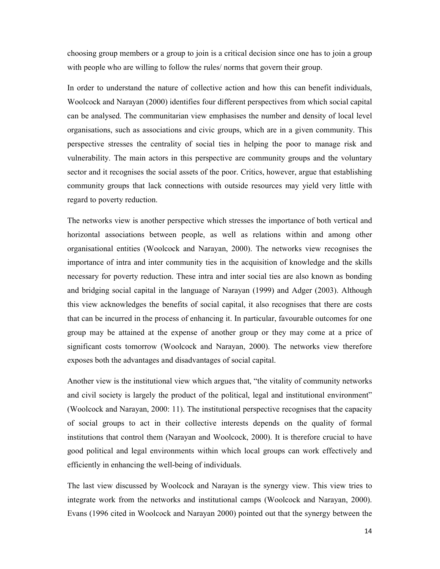choosing group members or a group to join is a critical decision since one has to join a group with people who are willing to follow the rules/ norms that govern their group.

In order to understand the nature of collective action and how this can benefit individuals, Woolcock and Narayan (2000) identifies four different perspectives from which social capital can be analysed. The communitarian view emphasises the number and density of local level organisations, such as associations and civic groups, which are in a given community. This perspective stresses the centrality of social ties in helping the poor to manage risk and vulnerability. The main actors in this perspective are community groups and the voluntary sector and it recognises the social assets of the poor. Critics, however, argue that establishing community groups that lack connections with outside resources may yield very little with regard to poverty reduction.

The networks view is another perspective which stresses the importance of both vertical and horizontal associations between people, as well as relations within and among other organisational entities (Woolcock and Narayan, 2000). The networks view recognises the importance of intra and inter community ties in the acquisition of knowledge and the skills necessary for poverty reduction. These intra and inter social ties are also known as bonding and bridging social capital in the language of Narayan (1999) and Adger (2003). Although this view acknowledges the benefits of social capital, it also recognises that there are costs that can be incurred in the process of enhancing it. In particular, favourable outcomes for one group may be attained at the expense of another group or they may come at a price of significant costs tomorrow (Woolcock and Narayan, 2000). The networks view therefore exposes both the advantages and disadvantages of social capital.

Another view is the institutional view which argues that, "the vitality of community networks and civil society is largely the product of the political, legal and institutional environment" (Woolcock and Narayan, 2000: 11). The institutional perspective recognises that the capacity of social groups to act in their collective interests depends on the quality of formal institutions that control them (Narayan and Woolcock, 2000). It is therefore crucial to have good political and legal environments within which local groups can work effectively and efficiently in enhancing the well-being of individuals.

The last view discussed by Woolcock and Narayan is the synergy view. This view tries to integrate work from the networks and institutional camps (Woolcock and Narayan, 2000). Evans (1996 cited in Woolcock and Narayan 2000) pointed out that the synergy between the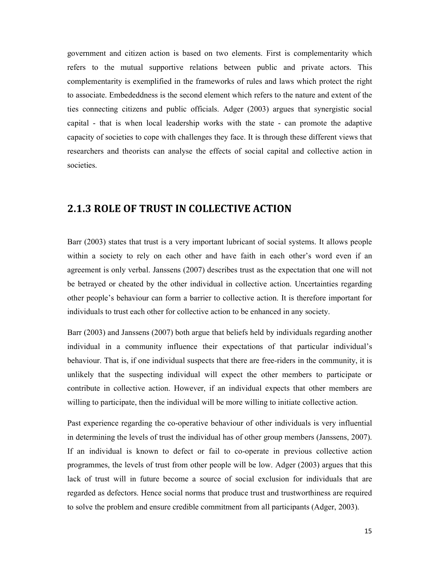government and citizen action is based on two elements. First is complementarity which refers to the mutual supportive relations between public and private actors. This complementarity is exemplified in the frameworks of rules and laws which protect the right to associate. Embededdness is the second element which refers to the nature and extent of the ties connecting citizens and public officials. Adger (2003) argues that synergistic social capital - that is when local leadership works with the state - can promote the adaptive capacity of societies to cope with challenges they face. It is through these different views that researchers and theorists can analyse the effects of social capital and collective action in societies.

### 2.1.3 ROLE OF TRUST IN COLLECTIVE ACTION

Barr (2003) states that trust is a very important lubricant of social systems. It allows people within a society to rely on each other and have faith in each other's word even if an agreement is only verbal. Janssens (2007) describes trust as the expectation that one will not be betrayed or cheated by the other individual in collective action. Uncertainties regarding other people's behaviour can form a barrier to collective action. It is therefore important for individuals to trust each other for collective action to be enhanced in any society.

Barr (2003) and Janssens (2007) both argue that beliefs held by individuals regarding another individual in a community influence their expectations of that particular individual's behaviour. That is, if one individual suspects that there are free-riders in the community, it is unlikely that the suspecting individual will expect the other members to participate or contribute in collective action. However, if an individual expects that other members are willing to participate, then the individual will be more willing to initiate collective action.

Past experience regarding the co-operative behaviour of other individuals is very influential in determining the levels of trust the individual has of other group members (Janssens, 2007). If an individual is known to defect or fail to co-operate in previous collective action programmes, the levels of trust from other people will be low. Adger (2003) argues that this lack of trust will in future become a source of social exclusion for individuals that are regarded as defectors. Hence social norms that produce trust and trustworthiness are required to solve the problem and ensure credible commitment from all participants (Adger, 2003).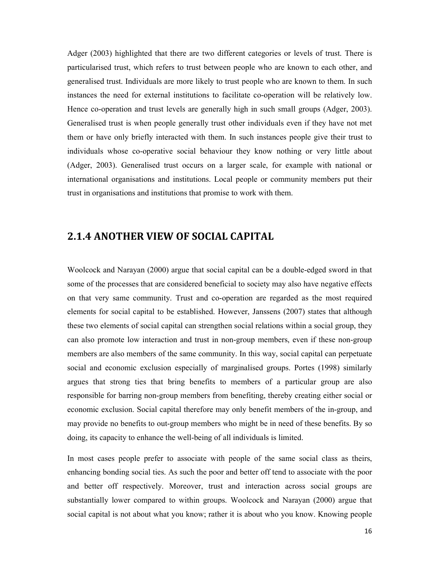Adger (2003) highlighted that there are two different categories or levels of trust. There is particularised trust, which refers to trust between people who are known to each other, and generalised trust. Individuals are more likely to trust people who are known to them. In such instances the need for external institutions to facilitate co-operation will be relatively low. Hence co-operation and trust levels are generally high in such small groups (Adger, 2003). Generalised trust is when people generally trust other individuals even if they have not met them or have only briefly interacted with them. In such instances people give their trust to individuals whose co-operative social behaviour they know nothing or very little about (Adger, 2003). Generalised trust occurs on a larger scale, for example with national or international organisations and institutions. Local people or community members put their trust in organisations and institutions that promise to work with them.

## 2.1.4 ANOTHER VIEW OF SOCIAL CAPITAL

Woolcock and Narayan (2000) argue that social capital can be a double-edged sword in that some of the processes that are considered beneficial to society may also have negative effects on that very same community. Trust and co-operation are regarded as the most required elements for social capital to be established. However, Janssens (2007) states that although these two elements of social capital can strengthen social relations within a social group, they can also promote low interaction and trust in non-group members, even if these non-group members are also members of the same community. In this way, social capital can perpetuate social and economic exclusion especially of marginalised groups. Portes (1998) similarly argues that strong ties that bring benefits to members of a particular group are also responsible for barring non-group members from benefiting, thereby creating either social or economic exclusion. Social capital therefore may only benefit members of the in-group, and may provide no benefits to out-group members who might be in need of these benefits. By so doing, its capacity to enhance the well-being of all individuals is limited.

In most cases people prefer to associate with people of the same social class as theirs, enhancing bonding social ties. As such the poor and better off tend to associate with the poor and better off respectively. Moreover, trust and interaction across social groups are substantially lower compared to within groups. Woolcock and Narayan (2000) argue that social capital is not about what you know; rather it is about who you know. Knowing people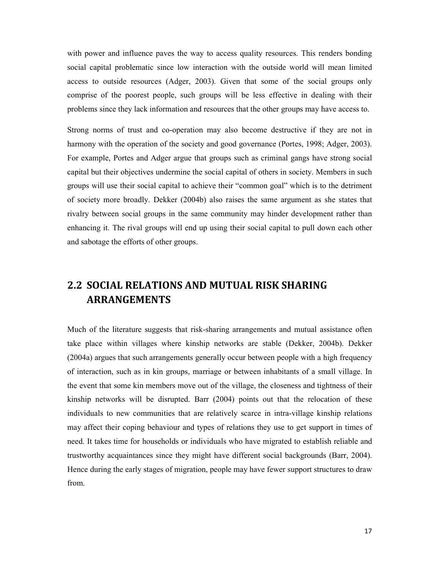with power and influence paves the way to access quality resources. This renders bonding social capital problematic since low interaction with the outside world will mean limited access to outside resources (Adger, 2003). Given that some of the social groups only comprise of the poorest people, such groups will be less effective in dealing with their problems since they lack information and resources that the other groups may have access to.

Strong norms of trust and co-operation may also become destructive if they are not in harmony with the operation of the society and good governance (Portes, 1998; Adger, 2003). For example, Portes and Adger argue that groups such as criminal gangs have strong social capital but their objectives undermine the social capital of others in society. Members in such groups will use their social capital to achieve their "common goal" which is to the detriment of society more broadly. Dekker (2004b) also raises the same argument as she states that rivalry between social groups in the same community may hinder development rather than enhancing it. The rival groups will end up using their social capital to pull down each other and sabotage the efforts of other groups.

# 2.2 SOCIAL RELATIONS AND MUTUAL RISK SHARING ARRANGEMENTS

Much of the literature suggests that risk-sharing arrangements and mutual assistance often take place within villages where kinship networks are stable (Dekker, 2004b). Dekker (2004a) argues that such arrangements generally occur between people with a high frequency of interaction, such as in kin groups, marriage or between inhabitants of a small village. In the event that some kin members move out of the village, the closeness and tightness of their kinship networks will be disrupted. Barr (2004) points out that the relocation of these individuals to new communities that are relatively scarce in intra-village kinship relations may affect their coping behaviour and types of relations they use to get support in times of need. It takes time for households or individuals who have migrated to establish reliable and trustworthy acquaintances since they might have different social backgrounds (Barr, 2004). Hence during the early stages of migration, people may have fewer support structures to draw from.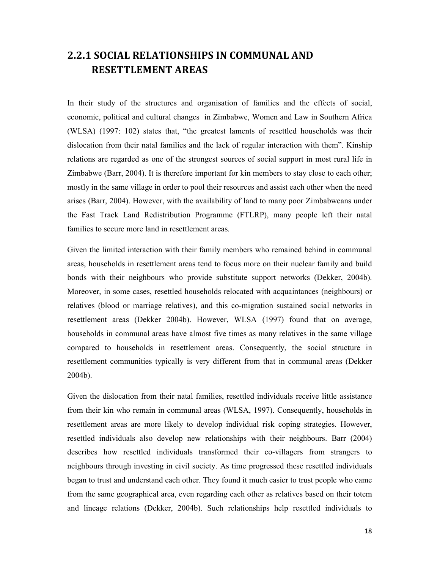## 2.2.1 SOCIAL RELATIONSHIPS IN COMMUNAL AND RESETTLEMENT AREAS

In their study of the structures and organisation of families and the effects of social, economic, political and cultural changes in Zimbabwe, Women and Law in Southern Africa (WLSA) (1997: 102) states that, "the greatest laments of resettled households was their dislocation from their natal families and the lack of regular interaction with them". Kinship relations are regarded as one of the strongest sources of social support in most rural life in Zimbabwe (Barr, 2004). It is therefore important for kin members to stay close to each other; mostly in the same village in order to pool their resources and assist each other when the need arises (Barr, 2004). However, with the availability of land to many poor Zimbabweans under the Fast Track Land Redistribution Programme (FTLRP), many people left their natal families to secure more land in resettlement areas.

Given the limited interaction with their family members who remained behind in communal areas, households in resettlement areas tend to focus more on their nuclear family and build bonds with their neighbours who provide substitute support networks (Dekker, 2004b). Moreover, in some cases, resettled households relocated with acquaintances (neighbours) or relatives (blood or marriage relatives), and this co-migration sustained social networks in resettlement areas (Dekker 2004b). However, WLSA (1997) found that on average, households in communal areas have almost five times as many relatives in the same village compared to households in resettlement areas. Consequently, the social structure in resettlement communities typically is very different from that in communal areas (Dekker 2004b).

Given the dislocation from their natal families, resettled individuals receive little assistance from their kin who remain in communal areas (WLSA, 1997). Consequently, households in resettlement areas are more likely to develop individual risk coping strategies. However, resettled individuals also develop new relationships with their neighbours. Barr (2004) describes how resettled individuals transformed their co-villagers from strangers to neighbours through investing in civil society. As time progressed these resettled individuals began to trust and understand each other. They found it much easier to trust people who came from the same geographical area, even regarding each other as relatives based on their totem and lineage relations (Dekker, 2004b). Such relationships help resettled individuals to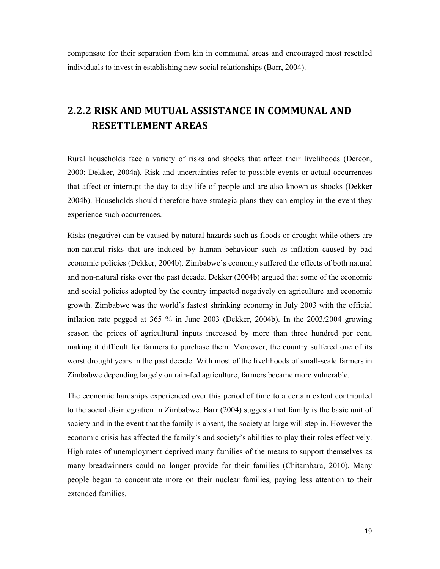compensate for their separation from kin in communal areas and encouraged most resettled individuals to invest in establishing new social relationships (Barr, 2004).

## 2.2.2 RISK AND MUTUAL ASSISTANCE IN COMMUNAL AND RESETTLEMENT AREAS

Rural households face a variety of risks and shocks that affect their livelihoods (Dercon, 2000; Dekker, 2004a). Risk and uncertainties refer to possible events or actual occurrences that affect or interrupt the day to day life of people and are also known as shocks (Dekker 2004b). Households should therefore have strategic plans they can employ in the event they experience such occurrences.

Risks (negative) can be caused by natural hazards such as floods or drought while others are non-natural risks that are induced by human behaviour such as inflation caused by bad economic policies (Dekker, 2004b). Zimbabwe's economy suffered the effects of both natural and non-natural risks over the past decade. Dekker (2004b) argued that some of the economic and social policies adopted by the country impacted negatively on agriculture and economic growth. Zimbabwe was the world's fastest shrinking economy in July 2003 with the official inflation rate pegged at 365 % in June 2003 (Dekker, 2004b). In the 2003/2004 growing season the prices of agricultural inputs increased by more than three hundred per cent, making it difficult for farmers to purchase them. Moreover, the country suffered one of its worst drought years in the past decade. With most of the livelihoods of small-scale farmers in Zimbabwe depending largely on rain-fed agriculture, farmers became more vulnerable.

The economic hardships experienced over this period of time to a certain extent contributed to the social disintegration in Zimbabwe. Barr (2004) suggests that family is the basic unit of society and in the event that the family is absent, the society at large will step in. However the economic crisis has affected the family's and society's abilities to play their roles effectively. High rates of unemployment deprived many families of the means to support themselves as many breadwinners could no longer provide for their families (Chitambara, 2010). Many people began to concentrate more on their nuclear families, paying less attention to their extended families.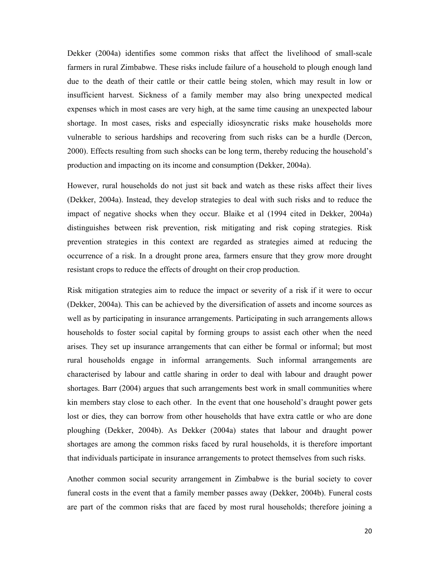Dekker (2004a) identifies some common risks that affect the livelihood of small-scale farmers in rural Zimbabwe. These risks include failure of a household to plough enough land due to the death of their cattle or their cattle being stolen, which may result in low or insufficient harvest. Sickness of a family member may also bring unexpected medical expenses which in most cases are very high, at the same time causing an unexpected labour shortage. In most cases, risks and especially idiosyncratic risks make households more vulnerable to serious hardships and recovering from such risks can be a hurdle (Dercon, 2000). Effects resulting from such shocks can be long term, thereby reducing the household's production and impacting on its income and consumption (Dekker, 2004a).

However, rural households do not just sit back and watch as these risks affect their lives (Dekker, 2004a). Instead, they develop strategies to deal with such risks and to reduce the impact of negative shocks when they occur. Blaike et al (1994 cited in Dekker, 2004a) distinguishes between risk prevention, risk mitigating and risk coping strategies. Risk prevention strategies in this context are regarded as strategies aimed at reducing the occurrence of a risk. In a drought prone area, farmers ensure that they grow more drought resistant crops to reduce the effects of drought on their crop production.

Risk mitigation strategies aim to reduce the impact or severity of a risk if it were to occur (Dekker, 2004a). This can be achieved by the diversification of assets and income sources as well as by participating in insurance arrangements. Participating in such arrangements allows households to foster social capital by forming groups to assist each other when the need arises. They set up insurance arrangements that can either be formal or informal; but most rural households engage in informal arrangements. Such informal arrangements are characterised by labour and cattle sharing in order to deal with labour and draught power shortages. Barr (2004) argues that such arrangements best work in small communities where kin members stay close to each other. In the event that one household's draught power gets lost or dies, they can borrow from other households that have extra cattle or who are done ploughing (Dekker, 2004b). As Dekker (2004a) states that labour and draught power shortages are among the common risks faced by rural households, it is therefore important that individuals participate in insurance arrangements to protect themselves from such risks.

Another common social security arrangement in Zimbabwe is the burial society to cover funeral costs in the event that a family member passes away (Dekker, 2004b). Funeral costs are part of the common risks that are faced by most rural households; therefore joining a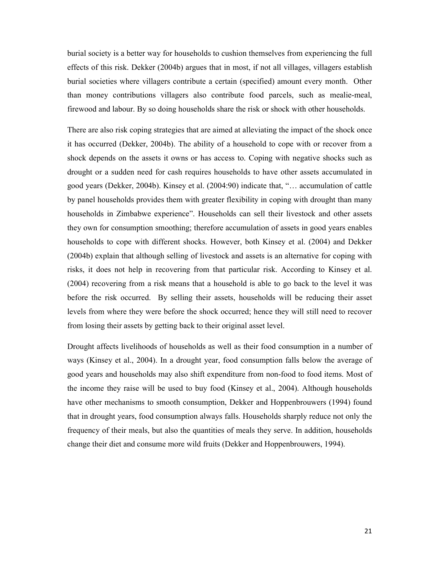burial society is a better way for households to cushion themselves from experiencing the full effects of this risk. Dekker (2004b) argues that in most, if not all villages, villagers establish burial societies where villagers contribute a certain (specified) amount every month. Other than money contributions villagers also contribute food parcels, such as mealie-meal, firewood and labour. By so doing households share the risk or shock with other households.

There are also risk coping strategies that are aimed at alleviating the impact of the shock once it has occurred (Dekker, 2004b). The ability of a household to cope with or recover from a shock depends on the assets it owns or has access to. Coping with negative shocks such as drought or a sudden need for cash requires households to have other assets accumulated in good years (Dekker, 2004b). Kinsey et al. (2004:90) indicate that, "… accumulation of cattle by panel households provides them with greater flexibility in coping with drought than many households in Zimbabwe experience". Households can sell their livestock and other assets they own for consumption smoothing; therefore accumulation of assets in good years enables households to cope with different shocks. However, both Kinsey et al. (2004) and Dekker (2004b) explain that although selling of livestock and assets is an alternative for coping with risks, it does not help in recovering from that particular risk. According to Kinsey et al. (2004) recovering from a risk means that a household is able to go back to the level it was before the risk occurred. By selling their assets, households will be reducing their asset levels from where they were before the shock occurred; hence they will still need to recover from losing their assets by getting back to their original asset level.

Drought affects livelihoods of households as well as their food consumption in a number of ways (Kinsey et al., 2004). In a drought year, food consumption falls below the average of good years and households may also shift expenditure from non-food to food items. Most of the income they raise will be used to buy food (Kinsey et al., 2004). Although households have other mechanisms to smooth consumption, Dekker and Hoppenbrouwers (1994) found that in drought years, food consumption always falls. Households sharply reduce not only the frequency of their meals, but also the quantities of meals they serve. In addition, households change their diet and consume more wild fruits (Dekker and Hoppenbrouwers, 1994).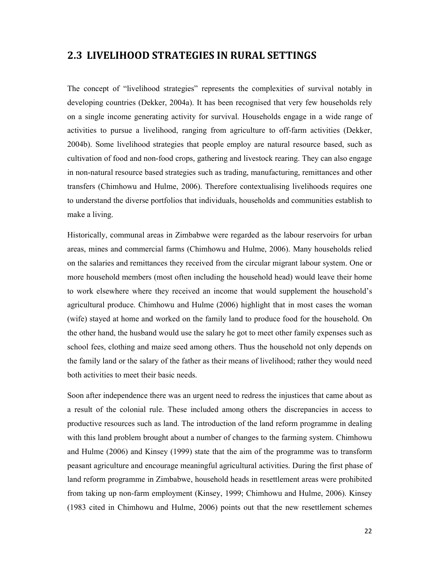#### 2.3 LIVELIHOOD STRATEGIES IN RURAL SETTINGS

The concept of "livelihood strategies" represents the complexities of survival notably in developing countries (Dekker, 2004a). It has been recognised that very few households rely on a single income generating activity for survival. Households engage in a wide range of activities to pursue a livelihood, ranging from agriculture to off-farm activities (Dekker, 2004b). Some livelihood strategies that people employ are natural resource based, such as cultivation of food and non-food crops, gathering and livestock rearing. They can also engage in non-natural resource based strategies such as trading, manufacturing, remittances and other transfers (Chimhowu and Hulme, 2006). Therefore contextualising livelihoods requires one to understand the diverse portfolios that individuals, households and communities establish to make a living.

Historically, communal areas in Zimbabwe were regarded as the labour reservoirs for urban areas, mines and commercial farms (Chimhowu and Hulme, 2006). Many households relied on the salaries and remittances they received from the circular migrant labour system. One or more household members (most often including the household head) would leave their home to work elsewhere where they received an income that would supplement the household's agricultural produce. Chimhowu and Hulme (2006) highlight that in most cases the woman (wife) stayed at home and worked on the family land to produce food for the household. On the other hand, the husband would use the salary he got to meet other family expenses such as school fees, clothing and maize seed among others. Thus the household not only depends on the family land or the salary of the father as their means of livelihood; rather they would need both activities to meet their basic needs.

Soon after independence there was an urgent need to redress the injustices that came about as a result of the colonial rule. These included among others the discrepancies in access to productive resources such as land. The introduction of the land reform programme in dealing with this land problem brought about a number of changes to the farming system. Chimhowu and Hulme (2006) and Kinsey (1999) state that the aim of the programme was to transform peasant agriculture and encourage meaningful agricultural activities. During the first phase of land reform programme in Zimbabwe, household heads in resettlement areas were prohibited from taking up non-farm employment (Kinsey, 1999; Chimhowu and Hulme, 2006). Kinsey (1983 cited in Chimhowu and Hulme, 2006) points out that the new resettlement schemes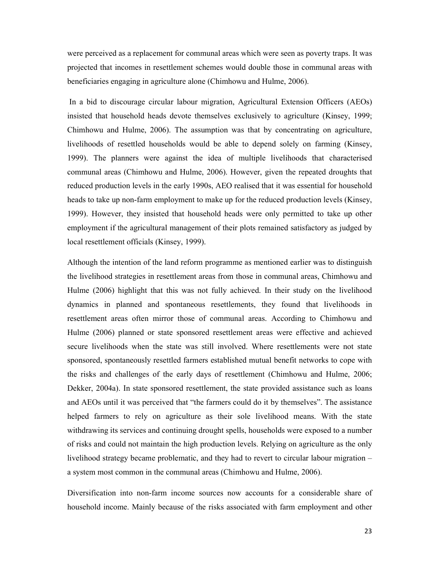were perceived as a replacement for communal areas which were seen as poverty traps. It was projected that incomes in resettlement schemes would double those in communal areas with beneficiaries engaging in agriculture alone (Chimhowu and Hulme, 2006).

 In a bid to discourage circular labour migration, Agricultural Extension Officers (AEOs) insisted that household heads devote themselves exclusively to agriculture (Kinsey, 1999; Chimhowu and Hulme, 2006). The assumption was that by concentrating on agriculture, livelihoods of resettled households would be able to depend solely on farming (Kinsey, 1999). The planners were against the idea of multiple livelihoods that characterised communal areas (Chimhowu and Hulme, 2006). However, given the repeated droughts that reduced production levels in the early 1990s, AEO realised that it was essential for household heads to take up non-farm employment to make up for the reduced production levels (Kinsey, 1999). However, they insisted that household heads were only permitted to take up other employment if the agricultural management of their plots remained satisfactory as judged by local resettlement officials (Kinsey, 1999).

Although the intention of the land reform programme as mentioned earlier was to distinguish the livelihood strategies in resettlement areas from those in communal areas, Chimhowu and Hulme (2006) highlight that this was not fully achieved. In their study on the livelihood dynamics in planned and spontaneous resettlements, they found that livelihoods in resettlement areas often mirror those of communal areas. According to Chimhowu and Hulme (2006) planned or state sponsored resettlement areas were effective and achieved secure livelihoods when the state was still involved. Where resettlements were not state sponsored, spontaneously resettled farmers established mutual benefit networks to cope with the risks and challenges of the early days of resettlement (Chimhowu and Hulme, 2006; Dekker, 2004a). In state sponsored resettlement, the state provided assistance such as loans and AEOs until it was perceived that "the farmers could do it by themselves". The assistance helped farmers to rely on agriculture as their sole livelihood means. With the state withdrawing its services and continuing drought spells, households were exposed to a number of risks and could not maintain the high production levels. Relying on agriculture as the only livelihood strategy became problematic, and they had to revert to circular labour migration – a system most common in the communal areas (Chimhowu and Hulme, 2006).

Diversification into non-farm income sources now accounts for a considerable share of household income. Mainly because of the risks associated with farm employment and other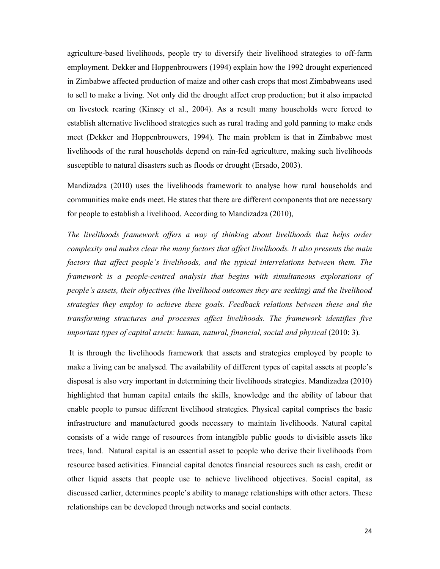agriculture-based livelihoods, people try to diversify their livelihood strategies to off-farm employment. Dekker and Hoppenbrouwers (1994) explain how the 1992 drought experienced in Zimbabwe affected production of maize and other cash crops that most Zimbabweans used to sell to make a living. Not only did the drought affect crop production; but it also impacted on livestock rearing (Kinsey et al., 2004). As a result many households were forced to establish alternative livelihood strategies such as rural trading and gold panning to make ends meet (Dekker and Hoppenbrouwers, 1994). The main problem is that in Zimbabwe most livelihoods of the rural households depend on rain-fed agriculture, making such livelihoods susceptible to natural disasters such as floods or drought (Ersado, 2003).

Mandizadza (2010) uses the livelihoods framework to analyse how rural households and communities make ends meet. He states that there are different components that are necessary for people to establish a livelihood. According to Mandizadza (2010),

The livelihoods framework offers a way of thinking about livelihoods that helps order complexity and makes clear the many factors that affect livelihoods. It also presents the main factors that affect people's livelihoods, and the typical interrelations between them. The framework is a people-centred analysis that begins with simultaneous explorations of people's assets, their objectives (the livelihood outcomes they are seeking) and the livelihood strategies they employ to achieve these goals. Feedback relations between these and the transforming structures and processes affect livelihoods. The framework identifies five important types of capital assets: human, natural, financial, social and physical (2010: 3).

 It is through the livelihoods framework that assets and strategies employed by people to make a living can be analysed. The availability of different types of capital assets at people's disposal is also very important in determining their livelihoods strategies. Mandizadza (2010) highlighted that human capital entails the skills, knowledge and the ability of labour that enable people to pursue different livelihood strategies. Physical capital comprises the basic infrastructure and manufactured goods necessary to maintain livelihoods. Natural capital consists of a wide range of resources from intangible public goods to divisible assets like trees, land. Natural capital is an essential asset to people who derive their livelihoods from resource based activities. Financial capital denotes financial resources such as cash, credit or other liquid assets that people use to achieve livelihood objectives. Social capital, as discussed earlier, determines people's ability to manage relationships with other actors. These relationships can be developed through networks and social contacts.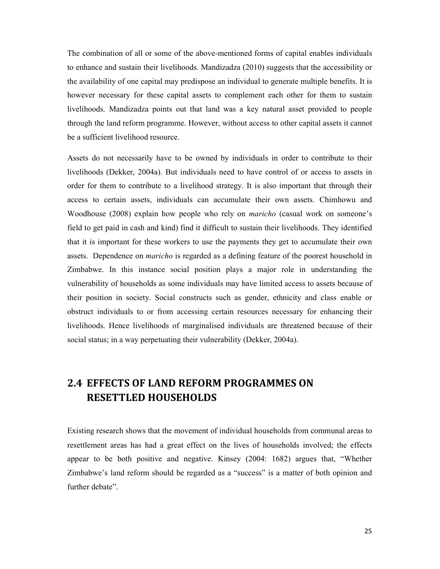The combination of all or some of the above-mentioned forms of capital enables individuals to enhance and sustain their livelihoods. Mandizadza (2010) suggests that the accessibility or the availability of one capital may predispose an individual to generate multiple benefits. It is however necessary for these capital assets to complement each other for them to sustain livelihoods. Mandizadza points out that land was a key natural asset provided to people through the land reform programme. However, without access to other capital assets it cannot be a sufficient livelihood resource.

Assets do not necessarily have to be owned by individuals in order to contribute to their livelihoods (Dekker, 2004a). But individuals need to have control of or access to assets in order for them to contribute to a livelihood strategy. It is also important that through their access to certain assets, individuals can accumulate their own assets. Chimhowu and Woodhouse (2008) explain how people who rely on *maricho* (casual work on someone's field to get paid in cash and kind) find it difficult to sustain their livelihoods. They identified that it is important for these workers to use the payments they get to accumulate their own assets. Dependence on *maricho* is regarded as a defining feature of the poorest household in Zimbabwe. In this instance social position plays a major role in understanding the vulnerability of households as some individuals may have limited access to assets because of their position in society. Social constructs such as gender, ethnicity and class enable or obstruct individuals to or from accessing certain resources necessary for enhancing their livelihoods. Hence livelihoods of marginalised individuals are threatened because of their social status; in a way perpetuating their vulnerability (Dekker, 2004a).

# 2.4 EFFECTS OF LAND REFORM PROGRAMMES ON RESETTLED HOUSEHOLDS

Existing research shows that the movement of individual households from communal areas to resettlement areas has had a great effect on the lives of households involved; the effects appear to be both positive and negative. Kinsey (2004: 1682) argues that, "Whether Zimbabwe's land reform should be regarded as a "success" is a matter of both opinion and further debate".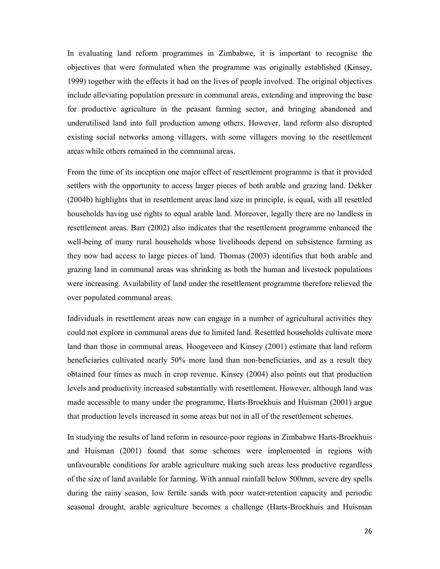In evaluating land reform programmes in Zimbabwe, it is important to recognise the objectives that were formulated when the programme was originally established (Kinsey, 1999) together with the effects it had on the lives of people involved. The original objectives include alleviating population pressure in communal areas, extending and improving the base for productive agriculture in the peasant farming sector, and bringing abandoned and underutilised land into full production among others. However, land reform also disrupted existing social networks among villagers, with some villagers moving to the resettlement areas while others remained in the communal areas.

From the time of its inception one major effect of resettlement programme is that it provided settlers with the opportunity to access larger pieces of both arable and grazing land. Dekker (2004b) highlights that in resettlement areas land size in principle, is equal, with all resettled households having use rights to equal arable land. Moreover, legally there are no landless in resettlement areas. Barr (2002) also indicates that the resettlement programme enhanced the well-being of many rural households whose livelihoods depend on subsistence farming as they now had access to large pieces of land. Thomas (2003) identifies that both arable and grazing land in communal areas was shrinking as both the human and livestock populations were increasing. Availability of land under the resettlement programme therefore relieved the over populated communal areas.

Individuals in resettlement areas now can engage in a number of agricultural activities they could not explore in communal areas due to limited land. Resettled households cultivate more land than those in communal areas. Hoogeveen and Kinsey (2001) estimate that land reform beneficiaries cultivated nearly 50% more land than non-beneficiaries, and as a result they obtained four times as much in crop revenue. Kinsey (2004) also points out that production levels and productivity increased substantially with resettlement. However, although land was made accessible to many under the programme, Harts-Broekhuis and Huisman (2001) argue that production levels increased in some areas but not in all of the resettlement schemes.

In studying the results of land reform in resource-poor regions in Zimbabwe Harts-Broekhuis and Huisman (2001) found that some schemes were implemented in regions with unfavourable conditions for arable agriculture making such areas less productive regardless of the size of land available for farming. With annual rainfall below 500mm, severe dry spells during the rainy season, low fertile sands with poor water-retention capacity and periodic seasonal drought, arable agriculture becomes a challenge (Harts-Broekhuis and Huisman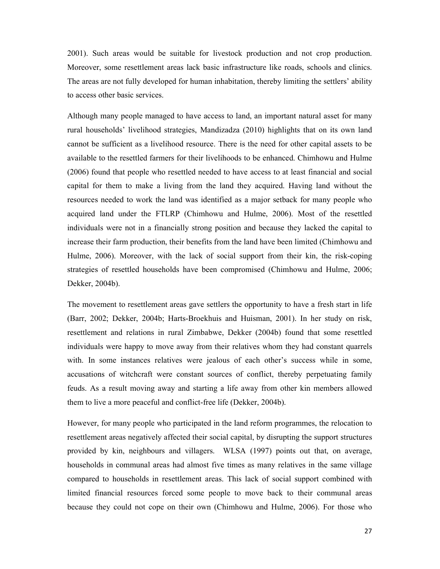2001). Such areas would be suitable for livestock production and not crop production. Moreover, some resettlement areas lack basic infrastructure like roads, schools and clinics. The areas are not fully developed for human inhabitation, thereby limiting the settlers' ability to access other basic services.

Although many people managed to have access to land, an important natural asset for many rural households' livelihood strategies, Mandizadza (2010) highlights that on its own land cannot be sufficient as a livelihood resource. There is the need for other capital assets to be available to the resettled farmers for their livelihoods to be enhanced. Chimhowu and Hulme (2006) found that people who resettled needed to have access to at least financial and social capital for them to make a living from the land they acquired. Having land without the resources needed to work the land was identified as a major setback for many people who acquired land under the FTLRP (Chimhowu and Hulme, 2006). Most of the resettled individuals were not in a financially strong position and because they lacked the capital to increase their farm production, their benefits from the land have been limited (Chimhowu and Hulme, 2006). Moreover, with the lack of social support from their kin, the risk-coping strategies of resettled households have been compromised (Chimhowu and Hulme, 2006; Dekker, 2004b).

The movement to resettlement areas gave settlers the opportunity to have a fresh start in life (Barr, 2002; Dekker, 2004b; Harts-Broekhuis and Huisman, 2001). In her study on risk, resettlement and relations in rural Zimbabwe, Dekker (2004b) found that some resettled individuals were happy to move away from their relatives whom they had constant quarrels with. In some instances relatives were jealous of each other's success while in some, accusations of witchcraft were constant sources of conflict, thereby perpetuating family feuds. As a result moving away and starting a life away from other kin members allowed them to live a more peaceful and conflict-free life (Dekker, 2004b).

However, for many people who participated in the land reform programmes, the relocation to resettlement areas negatively affected their social capital, by disrupting the support structures provided by kin, neighbours and villagers. WLSA (1997) points out that, on average, households in communal areas had almost five times as many relatives in the same village compared to households in resettlement areas. This lack of social support combined with limited financial resources forced some people to move back to their communal areas because they could not cope on their own (Chimhowu and Hulme, 2006). For those who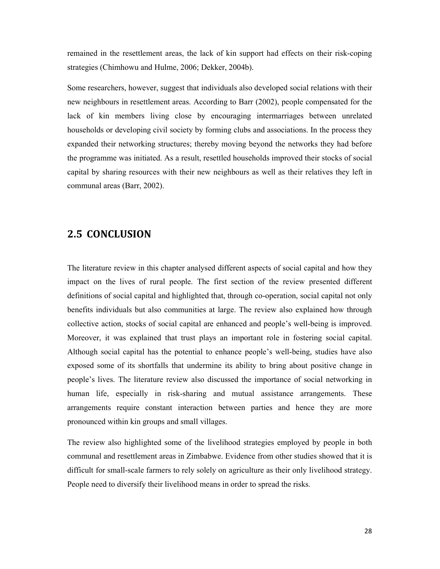remained in the resettlement areas, the lack of kin support had effects on their risk-coping strategies (Chimhowu and Hulme, 2006; Dekker, 2004b).

Some researchers, however, suggest that individuals also developed social relations with their new neighbours in resettlement areas. According to Barr (2002), people compensated for the lack of kin members living close by encouraging intermarriages between unrelated households or developing civil society by forming clubs and associations. In the process they expanded their networking structures; thereby moving beyond the networks they had before the programme was initiated. As a result, resettled households improved their stocks of social capital by sharing resources with their new neighbours as well as their relatives they left in communal areas (Barr, 2002).

## 2.5 CONCLUSION

The literature review in this chapter analysed different aspects of social capital and how they impact on the lives of rural people. The first section of the review presented different definitions of social capital and highlighted that, through co-operation, social capital not only benefits individuals but also communities at large. The review also explained how through collective action, stocks of social capital are enhanced and people's well-being is improved. Moreover, it was explained that trust plays an important role in fostering social capital. Although social capital has the potential to enhance people's well-being, studies have also exposed some of its shortfalls that undermine its ability to bring about positive change in people's lives. The literature review also discussed the importance of social networking in human life, especially in risk-sharing and mutual assistance arrangements. These arrangements require constant interaction between parties and hence they are more pronounced within kin groups and small villages.

The review also highlighted some of the livelihood strategies employed by people in both communal and resettlement areas in Zimbabwe. Evidence from other studies showed that it is difficult for small-scale farmers to rely solely on agriculture as their only livelihood strategy. People need to diversify their livelihood means in order to spread the risks.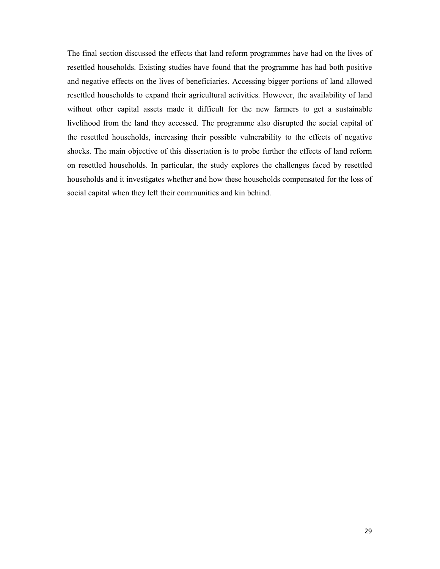The final section discussed the effects that land reform programmes have had on the lives of resettled households. Existing studies have found that the programme has had both positive and negative effects on the lives of beneficiaries. Accessing bigger portions of land allowed resettled households to expand their agricultural activities. However, the availability of land without other capital assets made it difficult for the new farmers to get a sustainable livelihood from the land they accessed. The programme also disrupted the social capital of the resettled households, increasing their possible vulnerability to the effects of negative shocks. The main objective of this dissertation is to probe further the effects of land reform on resettled households. In particular, the study explores the challenges faced by resettled households and it investigates whether and how these households compensated for the loss of social capital when they left their communities and kin behind.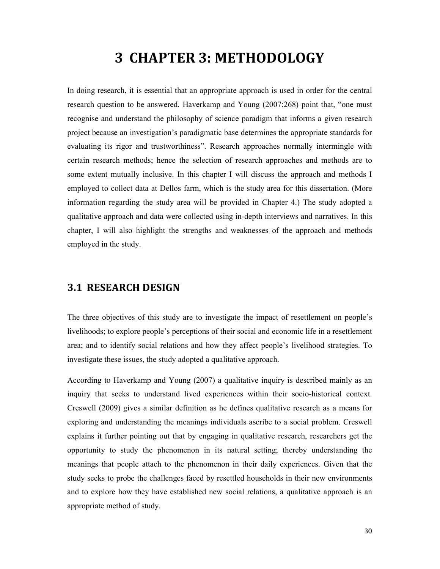## 3 CHAPTER 3: METHODOLOGY

In doing research, it is essential that an appropriate approach is used in order for the central research question to be answered. Haverkamp and Young (2007:268) point that, "one must recognise and understand the philosophy of science paradigm that informs a given research project because an investigation's paradigmatic base determines the appropriate standards for evaluating its rigor and trustworthiness". Research approaches normally intermingle with certain research methods; hence the selection of research approaches and methods are to some extent mutually inclusive. In this chapter I will discuss the approach and methods I employed to collect data at Dellos farm, which is the study area for this dissertation. (More information regarding the study area will be provided in Chapter 4.) The study adopted a qualitative approach and data were collected using in-depth interviews and narratives. In this chapter, I will also highlight the strengths and weaknesses of the approach and methods employed in the study.

## 3.1 RESEARCH DESIGN

The three objectives of this study are to investigate the impact of resettlement on people's livelihoods; to explore people's perceptions of their social and economic life in a resettlement area; and to identify social relations and how they affect people's livelihood strategies. To investigate these issues, the study adopted a qualitative approach.

According to Haverkamp and Young (2007) a qualitative inquiry is described mainly as an inquiry that seeks to understand lived experiences within their socio-historical context. Creswell (2009) gives a similar definition as he defines qualitative research as a means for exploring and understanding the meanings individuals ascribe to a social problem. Creswell explains it further pointing out that by engaging in qualitative research, researchers get the opportunity to study the phenomenon in its natural setting; thereby understanding the meanings that people attach to the phenomenon in their daily experiences. Given that the study seeks to probe the challenges faced by resettled households in their new environments and to explore how they have established new social relations, a qualitative approach is an appropriate method of study.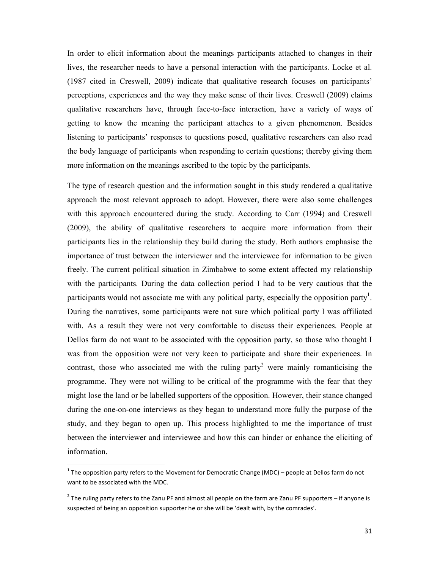In order to elicit information about the meanings participants attached to changes in their lives, the researcher needs to have a personal interaction with the participants. Locke et al. (1987 cited in Creswell, 2009) indicate that qualitative research focuses on participants' perceptions, experiences and the way they make sense of their lives. Creswell (2009) claims qualitative researchers have, through face-to-face interaction, have a variety of ways of getting to know the meaning the participant attaches to a given phenomenon. Besides listening to participants' responses to questions posed, qualitative researchers can also read the body language of participants when responding to certain questions; thereby giving them more information on the meanings ascribed to the topic by the participants.

The type of research question and the information sought in this study rendered a qualitative approach the most relevant approach to adopt. However, there were also some challenges with this approach encountered during the study. According to Carr (1994) and Creswell (2009), the ability of qualitative researchers to acquire more information from their participants lies in the relationship they build during the study. Both authors emphasise the importance of trust between the interviewer and the interviewee for information to be given freely. The current political situation in Zimbabwe to some extent affected my relationship with the participants. During the data collection period I had to be very cautious that the participants would not associate me with any political party, especially the opposition party<sup>1</sup>. During the narratives, some participants were not sure which political party I was affiliated with. As a result they were not very comfortable to discuss their experiences. People at Dellos farm do not want to be associated with the opposition party, so those who thought I was from the opposition were not very keen to participate and share their experiences. In contrast, those who associated me with the ruling party<sup>2</sup> were mainly romanticising the programme. They were not willing to be critical of the programme with the fear that they might lose the land or be labelled supporters of the opposition. However, their stance changed during the one-on-one interviews as they began to understand more fully the purpose of the study, and they began to open up. This process highlighted to me the importance of trust between the interviewer and interviewee and how this can hinder or enhance the eliciting of information.

1

<sup>&</sup>lt;sup>1</sup> The opposition party refers to the Movement for Democratic Change (MDC) – people at Dellos farm do not want to be associated with the MDC.

 $^2$  The ruling party refers to the Zanu PF and almost all people on the farm are Zanu PF supporters – if anyone is suspected of being an opposition supporter he or she will be 'dealt with, by the comrades'.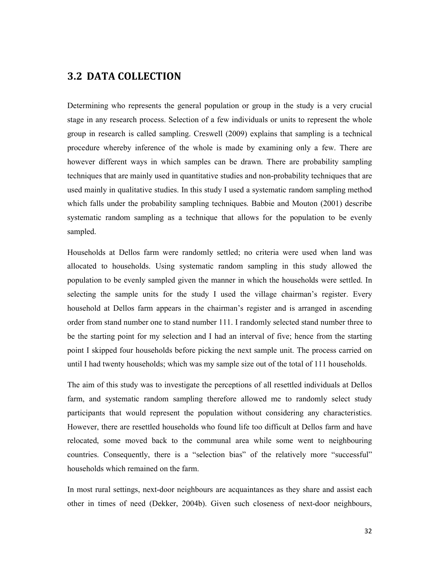## 3.2 DATA COLLECTION

Determining who represents the general population or group in the study is a very crucial stage in any research process. Selection of a few individuals or units to represent the whole group in research is called sampling. Creswell (2009) explains that sampling is a technical procedure whereby inference of the whole is made by examining only a few. There are however different ways in which samples can be drawn. There are probability sampling techniques that are mainly used in quantitative studies and non-probability techniques that are used mainly in qualitative studies. In this study I used a systematic random sampling method which falls under the probability sampling techniques. Babbie and Mouton (2001) describe systematic random sampling as a technique that allows for the population to be evenly sampled.

Households at Dellos farm were randomly settled; no criteria were used when land was allocated to households. Using systematic random sampling in this study allowed the population to be evenly sampled given the manner in which the households were settled. In selecting the sample units for the study I used the village chairman's register. Every household at Dellos farm appears in the chairman's register and is arranged in ascending order from stand number one to stand number 111. I randomly selected stand number three to be the starting point for my selection and I had an interval of five; hence from the starting point I skipped four households before picking the next sample unit. The process carried on until I had twenty households; which was my sample size out of the total of 111 households.

The aim of this study was to investigate the perceptions of all resettled individuals at Dellos farm, and systematic random sampling therefore allowed me to randomly select study participants that would represent the population without considering any characteristics. However, there are resettled households who found life too difficult at Dellos farm and have relocated, some moved back to the communal area while some went to neighbouring countries. Consequently, there is a "selection bias" of the relatively more "successful" households which remained on the farm.

In most rural settings, next-door neighbours are acquaintances as they share and assist each other in times of need (Dekker, 2004b). Given such closeness of next-door neighbours,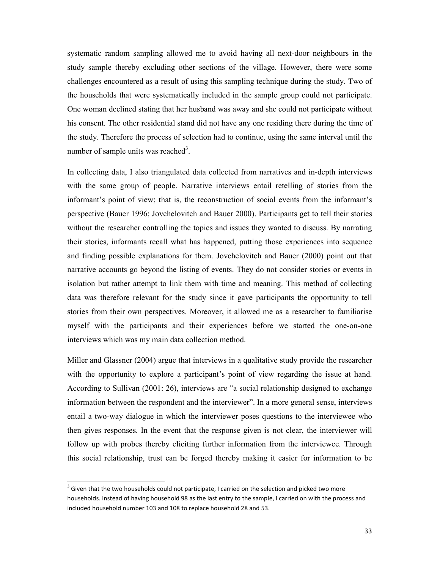systematic random sampling allowed me to avoid having all next-door neighbours in the study sample thereby excluding other sections of the village. However, there were some challenges encountered as a result of using this sampling technique during the study. Two of the households that were systematically included in the sample group could not participate. One woman declined stating that her husband was away and she could not participate without his consent. The other residential stand did not have any one residing there during the time of the study. Therefore the process of selection had to continue, using the same interval until the number of sample units was reached<sup>3</sup>.

In collecting data, I also triangulated data collected from narratives and in-depth interviews with the same group of people. Narrative interviews entail retelling of stories from the informant's point of view; that is, the reconstruction of social events from the informant's perspective (Bauer 1996; Jovchelovitch and Bauer 2000). Participants get to tell their stories without the researcher controlling the topics and issues they wanted to discuss. By narrating their stories, informants recall what has happened, putting those experiences into sequence and finding possible explanations for them. Jovchelovitch and Bauer (2000) point out that narrative accounts go beyond the listing of events. They do not consider stories or events in isolation but rather attempt to link them with time and meaning. This method of collecting data was therefore relevant for the study since it gave participants the opportunity to tell stories from their own perspectives. Moreover, it allowed me as a researcher to familiarise myself with the participants and their experiences before we started the one-on-one interviews which was my main data collection method.

Miller and Glassner (2004) argue that interviews in a qualitative study provide the researcher with the opportunity to explore a participant's point of view regarding the issue at hand. According to Sullivan (2001: 26), interviews are "a social relationship designed to exchange information between the respondent and the interviewer". In a more general sense, interviews entail a two-way dialogue in which the interviewer poses questions to the interviewee who then gives responses. In the event that the response given is not clear, the interviewer will follow up with probes thereby eliciting further information from the interviewee. Through this social relationship, trust can be forged thereby making it easier for information to be

l,

 $3$  Given that the two households could not participate, I carried on the selection and picked two more households. Instead of having household 98 as the last entry to the sample, I carried on with the process and included household number 103 and 108 to replace household 28 and 53.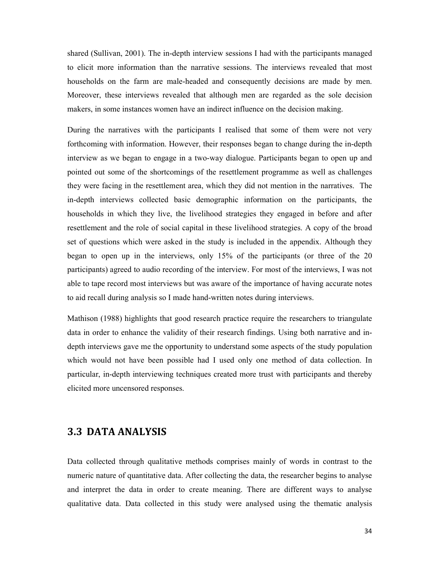shared (Sullivan, 2001). The in-depth interview sessions I had with the participants managed to elicit more information than the narrative sessions. The interviews revealed that most households on the farm are male-headed and consequently decisions are made by men. Moreover, these interviews revealed that although men are regarded as the sole decision makers, in some instances women have an indirect influence on the decision making.

During the narratives with the participants I realised that some of them were not very forthcoming with information. However, their responses began to change during the in-depth interview as we began to engage in a two-way dialogue. Participants began to open up and pointed out some of the shortcomings of the resettlement programme as well as challenges they were facing in the resettlement area, which they did not mention in the narratives. The in-depth interviews collected basic demographic information on the participants, the households in which they live, the livelihood strategies they engaged in before and after resettlement and the role of social capital in these livelihood strategies. A copy of the broad set of questions which were asked in the study is included in the appendix. Although they began to open up in the interviews, only 15% of the participants (or three of the 20 participants) agreed to audio recording of the interview. For most of the interviews, I was not able to tape record most interviews but was aware of the importance of having accurate notes to aid recall during analysis so I made hand-written notes during interviews.

Mathison (1988) highlights that good research practice require the researchers to triangulate data in order to enhance the validity of their research findings. Using both narrative and indepth interviews gave me the opportunity to understand some aspects of the study population which would not have been possible had I used only one method of data collection. In particular, in-depth interviewing techniques created more trust with participants and thereby elicited more uncensored responses.

## 3.3 DATA ANALYSIS

Data collected through qualitative methods comprises mainly of words in contrast to the numeric nature of quantitative data. After collecting the data, the researcher begins to analyse and interpret the data in order to create meaning. There are different ways to analyse qualitative data. Data collected in this study were analysed using the thematic analysis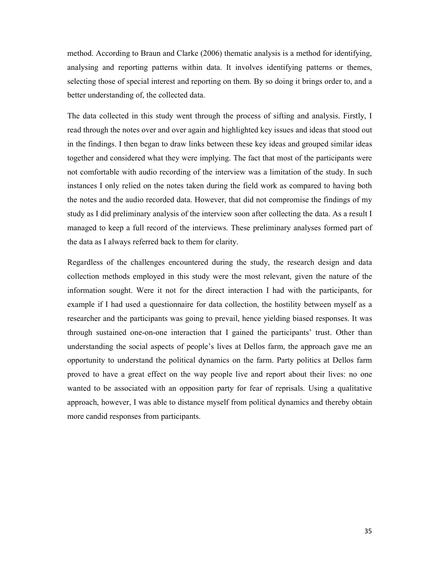method. According to Braun and Clarke (2006) thematic analysis is a method for identifying, analysing and reporting patterns within data. It involves identifying patterns or themes, selecting those of special interest and reporting on them. By so doing it brings order to, and a better understanding of, the collected data.

The data collected in this study went through the process of sifting and analysis. Firstly, I read through the notes over and over again and highlighted key issues and ideas that stood out in the findings. I then began to draw links between these key ideas and grouped similar ideas together and considered what they were implying. The fact that most of the participants were not comfortable with audio recording of the interview was a limitation of the study. In such instances I only relied on the notes taken during the field work as compared to having both the notes and the audio recorded data. However, that did not compromise the findings of my study as I did preliminary analysis of the interview soon after collecting the data. As a result I managed to keep a full record of the interviews. These preliminary analyses formed part of the data as I always referred back to them for clarity.

Regardless of the challenges encountered during the study, the research design and data collection methods employed in this study were the most relevant, given the nature of the information sought. Were it not for the direct interaction I had with the participants, for example if I had used a questionnaire for data collection, the hostility between myself as a researcher and the participants was going to prevail, hence yielding biased responses. It was through sustained one-on-one interaction that I gained the participants' trust. Other than understanding the social aspects of people's lives at Dellos farm, the approach gave me an opportunity to understand the political dynamics on the farm. Party politics at Dellos farm proved to have a great effect on the way people live and report about their lives: no one wanted to be associated with an opposition party for fear of reprisals. Using a qualitative approach, however, I was able to distance myself from political dynamics and thereby obtain more candid responses from participants.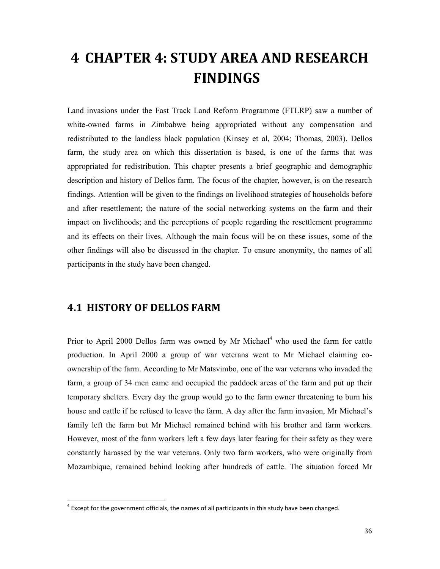# 4 CHAPTER 4: STUDY AREA AND RESEARCH FINDINGS

Land invasions under the Fast Track Land Reform Programme (FTLRP) saw a number of white-owned farms in Zimbabwe being appropriated without any compensation and redistributed to the landless black population (Kinsey et al, 2004; Thomas, 2003). Dellos farm, the study area on which this dissertation is based, is one of the farms that was appropriated for redistribution. This chapter presents a brief geographic and demographic description and history of Dellos farm. The focus of the chapter, however, is on the research findings. Attention will be given to the findings on livelihood strategies of households before and after resettlement; the nature of the social networking systems on the farm and their impact on livelihoods; and the perceptions of people regarding the resettlement programme and its effects on their lives. Although the main focus will be on these issues, some of the other findings will also be discussed in the chapter. To ensure anonymity, the names of all participants in the study have been changed.

## 4.1 HISTORY OF DELLOS FARM

1

Prior to April 2000 Dellos farm was owned by Mr Michael $4$  who used the farm for cattle production. In April 2000 a group of war veterans went to Mr Michael claiming coownership of the farm. According to Mr Matsvimbo, one of the war veterans who invaded the farm, a group of 34 men came and occupied the paddock areas of the farm and put up their temporary shelters. Every day the group would go to the farm owner threatening to burn his house and cattle if he refused to leave the farm. A day after the farm invasion, Mr Michael's family left the farm but Mr Michael remained behind with his brother and farm workers. However, most of the farm workers left a few days later fearing for their safety as they were constantly harassed by the war veterans. Only two farm workers, who were originally from Mozambique, remained behind looking after hundreds of cattle. The situation forced Mr

 $4$  Except for the government officials, the names of all participants in this study have been changed.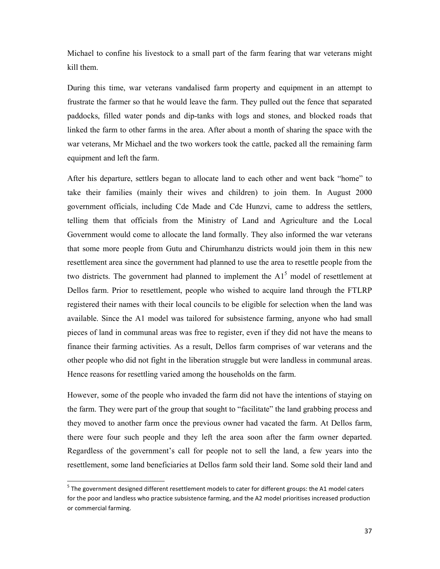Michael to confine his livestock to a small part of the farm fearing that war veterans might kill them.

During this time, war veterans vandalised farm property and equipment in an attempt to frustrate the farmer so that he would leave the farm. They pulled out the fence that separated paddocks, filled water ponds and dip-tanks with logs and stones, and blocked roads that linked the farm to other farms in the area. After about a month of sharing the space with the war veterans, Mr Michael and the two workers took the cattle, packed all the remaining farm equipment and left the farm.

After his departure, settlers began to allocate land to each other and went back "home" to take their families (mainly their wives and children) to join them. In August 2000 government officials, including Cde Made and Cde Hunzvi, came to address the settlers, telling them that officials from the Ministry of Land and Agriculture and the Local Government would come to allocate the land formally. They also informed the war veterans that some more people from Gutu and Chirumhanzu districts would join them in this new resettlement area since the government had planned to use the area to resettle people from the two districts. The government had planned to implement the  $A1<sup>5</sup>$  model of resettlement at Dellos farm. Prior to resettlement, people who wished to acquire land through the FTLRP registered their names with their local councils to be eligible for selection when the land was available. Since the A1 model was tailored for subsistence farming, anyone who had small pieces of land in communal areas was free to register, even if they did not have the means to finance their farming activities. As a result, Dellos farm comprises of war veterans and the other people who did not fight in the liberation struggle but were landless in communal areas. Hence reasons for resettling varied among the households on the farm.

However, some of the people who invaded the farm did not have the intentions of staying on the farm. They were part of the group that sought to "facilitate" the land grabbing process and they moved to another farm once the previous owner had vacated the farm. At Dellos farm, there were four such people and they left the area soon after the farm owner departed. Regardless of the government's call for people not to sell the land, a few years into the resettlement, some land beneficiaries at Dellos farm sold their land. Some sold their land and

l,

<sup>&</sup>lt;sup>5</sup> The government designed different resettlement models to cater for different groups: the A1 model caters for the poor and landless who practice subsistence farming, and the A2 model prioritises increased production or commercial farming.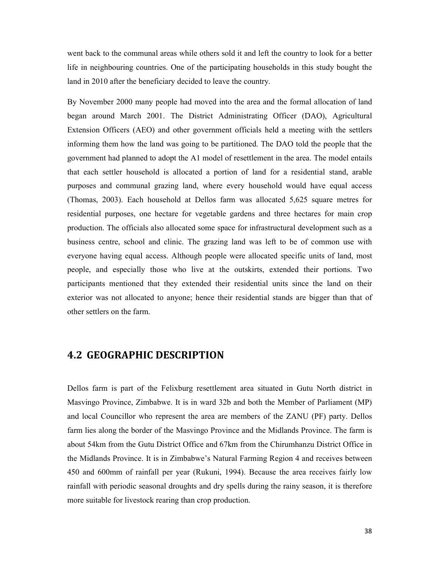went back to the communal areas while others sold it and left the country to look for a better life in neighbouring countries. One of the participating households in this study bought the land in 2010 after the beneficiary decided to leave the country.

By November 2000 many people had moved into the area and the formal allocation of land began around March 2001. The District Administrating Officer (DAO), Agricultural Extension Officers (AEO) and other government officials held a meeting with the settlers informing them how the land was going to be partitioned. The DAO told the people that the government had planned to adopt the A1 model of resettlement in the area. The model entails that each settler household is allocated a portion of land for a residential stand, arable purposes and communal grazing land, where every household would have equal access (Thomas, 2003). Each household at Dellos farm was allocated 5,625 square metres for residential purposes, one hectare for vegetable gardens and three hectares for main crop production. The officials also allocated some space for infrastructural development such as a business centre, school and clinic. The grazing land was left to be of common use with everyone having equal access. Although people were allocated specific units of land, most people, and especially those who live at the outskirts, extended their portions. Two participants mentioned that they extended their residential units since the land on their exterior was not allocated to anyone; hence their residential stands are bigger than that of other settlers on the farm.

## 4.2 GEOGRAPHIC DESCRIPTION

Dellos farm is part of the Felixburg resettlement area situated in Gutu North district in Masvingo Province, Zimbabwe. It is in ward 32b and both the Member of Parliament (MP) and local Councillor who represent the area are members of the ZANU (PF) party. Dellos farm lies along the border of the Masvingo Province and the Midlands Province. The farm is about 54km from the Gutu District Office and 67km from the Chirumhanzu District Office in the Midlands Province. It is in Zimbabwe's Natural Farming Region 4 and receives between 450 and 600mm of rainfall per year (Rukuni, 1994). Because the area receives fairly low rainfall with periodic seasonal droughts and dry spells during the rainy season, it is therefore more suitable for livestock rearing than crop production.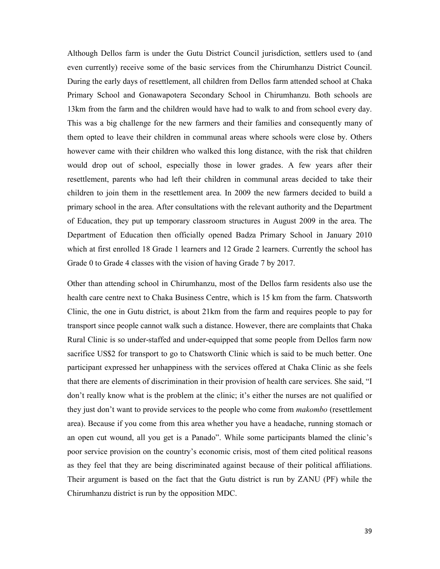Although Dellos farm is under the Gutu District Council jurisdiction, settlers used to (and even currently) receive some of the basic services from the Chirumhanzu District Council. During the early days of resettlement, all children from Dellos farm attended school at Chaka Primary School and Gonawapotera Secondary School in Chirumhanzu. Both schools are 13km from the farm and the children would have had to walk to and from school every day. This was a big challenge for the new farmers and their families and consequently many of them opted to leave their children in communal areas where schools were close by. Others however came with their children who walked this long distance, with the risk that children would drop out of school, especially those in lower grades. A few years after their resettlement, parents who had left their children in communal areas decided to take their children to join them in the resettlement area. In 2009 the new farmers decided to build a primary school in the area. After consultations with the relevant authority and the Department of Education, they put up temporary classroom structures in August 2009 in the area. The Department of Education then officially opened Badza Primary School in January 2010 which at first enrolled 18 Grade 1 learners and 12 Grade 2 learners. Currently the school has Grade 0 to Grade 4 classes with the vision of having Grade 7 by 2017.

Other than attending school in Chirumhanzu, most of the Dellos farm residents also use the health care centre next to Chaka Business Centre, which is 15 km from the farm. Chatsworth Clinic, the one in Gutu district, is about 21km from the farm and requires people to pay for transport since people cannot walk such a distance. However, there are complaints that Chaka Rural Clinic is so under-staffed and under-equipped that some people from Dellos farm now sacrifice US\$2 for transport to go to Chatsworth Clinic which is said to be much better. One participant expressed her unhappiness with the services offered at Chaka Clinic as she feels that there are elements of discrimination in their provision of health care services. She said, "I don't really know what is the problem at the clinic; it's either the nurses are not qualified or they just don't want to provide services to the people who come from *makombo* (resettlement area). Because if you come from this area whether you have a headache, running stomach or an open cut wound, all you get is a Panado". While some participants blamed the clinic's poor service provision on the country's economic crisis, most of them cited political reasons as they feel that they are being discriminated against because of their political affiliations. Their argument is based on the fact that the Gutu district is run by ZANU (PF) while the Chirumhanzu district is run by the opposition MDC.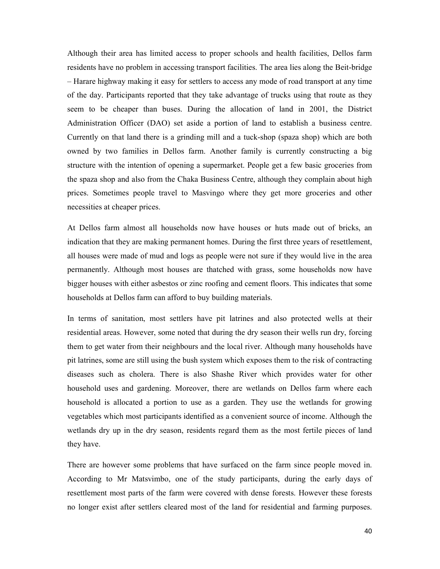Although their area has limited access to proper schools and health facilities, Dellos farm residents have no problem in accessing transport facilities. The area lies along the Beit-bridge – Harare highway making it easy for settlers to access any mode of road transport at any time of the day. Participants reported that they take advantage of trucks using that route as they seem to be cheaper than buses. During the allocation of land in 2001, the District Administration Officer (DAO) set aside a portion of land to establish a business centre. Currently on that land there is a grinding mill and a tuck-shop (spaza shop) which are both owned by two families in Dellos farm. Another family is currently constructing a big structure with the intention of opening a supermarket. People get a few basic groceries from the spaza shop and also from the Chaka Business Centre, although they complain about high prices. Sometimes people travel to Masvingo where they get more groceries and other necessities at cheaper prices.

At Dellos farm almost all households now have houses or huts made out of bricks, an indication that they are making permanent homes. During the first three years of resettlement, all houses were made of mud and logs as people were not sure if they would live in the area permanently. Although most houses are thatched with grass, some households now have bigger houses with either asbestos or zinc roofing and cement floors. This indicates that some households at Dellos farm can afford to buy building materials.

In terms of sanitation, most settlers have pit latrines and also protected wells at their residential areas. However, some noted that during the dry season their wells run dry, forcing them to get water from their neighbours and the local river. Although many households have pit latrines, some are still using the bush system which exposes them to the risk of contracting diseases such as cholera. There is also Shashe River which provides water for other household uses and gardening. Moreover, there are wetlands on Dellos farm where each household is allocated a portion to use as a garden. They use the wetlands for growing vegetables which most participants identified as a convenient source of income. Although the wetlands dry up in the dry season, residents regard them as the most fertile pieces of land they have.

There are however some problems that have surfaced on the farm since people moved in. According to Mr Matsvimbo, one of the study participants, during the early days of resettlement most parts of the farm were covered with dense forests. However these forests no longer exist after settlers cleared most of the land for residential and farming purposes.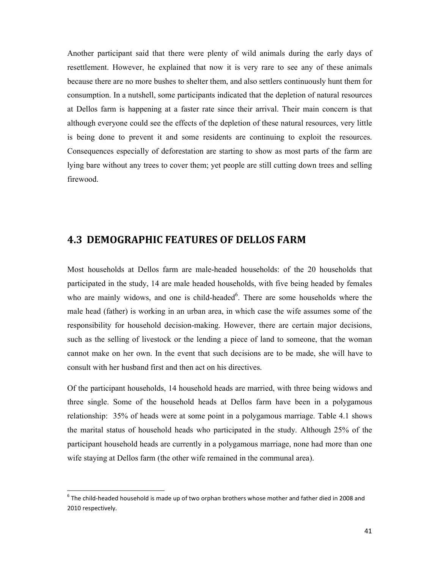Another participant said that there were plenty of wild animals during the early days of resettlement. However, he explained that now it is very rare to see any of these animals because there are no more bushes to shelter them, and also settlers continuously hunt them for consumption. In a nutshell, some participants indicated that the depletion of natural resources at Dellos farm is happening at a faster rate since their arrival. Their main concern is that although everyone could see the effects of the depletion of these natural resources, very little is being done to prevent it and some residents are continuing to exploit the resources. Consequences especially of deforestation are starting to show as most parts of the farm are lying bare without any trees to cover them; yet people are still cutting down trees and selling firewood.

## 4.3 DEMOGRAPHIC FEATURES OF DELLOS FARM

Most households at Dellos farm are male-headed households: of the 20 households that participated in the study, 14 are male headed households, with five being headed by females who are mainly widows, and one is child-headed<sup>6</sup>. There are some households where the male head (father) is working in an urban area, in which case the wife assumes some of the responsibility for household decision-making. However, there are certain major decisions, such as the selling of livestock or the lending a piece of land to someone, that the woman cannot make on her own. In the event that such decisions are to be made, she will have to consult with her husband first and then act on his directives.

Of the participant households, 14 household heads are married, with three being widows and three single. Some of the household heads at Dellos farm have been in a polygamous relationship: 35% of heads were at some point in a polygamous marriage. Table 4.1 shows the marital status of household heads who participated in the study. Although 25% of the participant household heads are currently in a polygamous marriage, none had more than one wife staying at Dellos farm (the other wife remained in the communal area).

l,

 $^6$  The child-headed household is made up of two orphan brothers whose mother and father died in 2008 and 2010 respectively.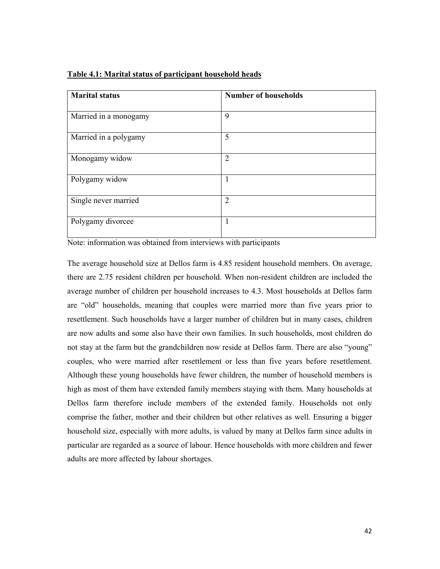|  | Table 4.1: Marital status of participant household heads |
|--|----------------------------------------------------------|
|  |                                                          |

| <b>Marital status</b> | <b>Number of households</b> |
|-----------------------|-----------------------------|
| Married in a monogamy | 9                           |
| Married in a polygamy | 5                           |
| Monogamy widow        | $\overline{2}$              |
| Polygamy widow        | 1                           |
| Single never married  | $\overline{2}$              |
| Polygamy divorcee     | 1                           |

Note: information was obtained from interviews with participants

The average household size at Dellos farm is 4.85 resident household members. On average, there are 2.75 resident children per household. When non-resident children are included the average number of children per household increases to 4.3. Most households at Dellos farm are "old" households, meaning that couples were married more than five years prior to resettlement. Such households have a larger number of children but in many cases, children are now adults and some also have their own families. In such households, most children do not stay at the farm but the grandchildren now reside at Dellos farm. There are also "young" couples, who were married after resettlement or less than five years before resettlement. Although these young households have fewer children, the number of household members is high as most of them have extended family members staying with them. Many households at Dellos farm therefore include members of the extended family. Households not only comprise the father, mother and their children but other relatives as well. Ensuring a bigger household size, especially with more adults, is valued by many at Dellos farm since adults in particular are regarded as a source of labour. Hence households with more children and fewer adults are more affected by labour shortages.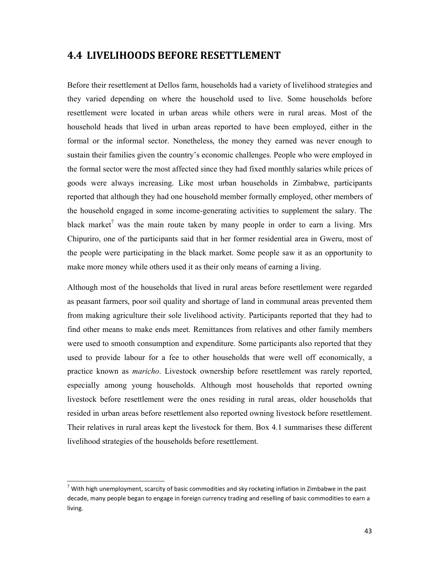### 4.4 LIVELIHOODS BEFORE RESETTLEMENT

Before their resettlement at Dellos farm, households had a variety of livelihood strategies and they varied depending on where the household used to live. Some households before resettlement were located in urban areas while others were in rural areas. Most of the household heads that lived in urban areas reported to have been employed, either in the formal or the informal sector. Nonetheless, the money they earned was never enough to sustain their families given the country's economic challenges. People who were employed in the formal sector were the most affected since they had fixed monthly salaries while prices of goods were always increasing. Like most urban households in Zimbabwe, participants reported that although they had one household member formally employed, other members of the household engaged in some income-generating activities to supplement the salary. The black market<sup>7</sup> was the main route taken by many people in order to earn a living. Mrs Chipuriro, one of the participants said that in her former residential area in Gweru, most of the people were participating in the black market. Some people saw it as an opportunity to make more money while others used it as their only means of earning a living.

Although most of the households that lived in rural areas before resettlement were regarded as peasant farmers, poor soil quality and shortage of land in communal areas prevented them from making agriculture their sole livelihood activity. Participants reported that they had to find other means to make ends meet. Remittances from relatives and other family members were used to smooth consumption and expenditure. Some participants also reported that they used to provide labour for a fee to other households that were well off economically, a practice known as maricho. Livestock ownership before resettlement was rarely reported, especially among young households. Although most households that reported owning livestock before resettlement were the ones residing in rural areas, older households that resided in urban areas before resettlement also reported owning livestock before resettlement. Their relatives in rural areas kept the livestock for them. Box 4.1 summarises these different livelihood strategies of the households before resettlement.

l,

 $^7$  With high unemployment, scarcity of basic commodities and sky rocketing inflation in Zimbabwe in the past decade, many people began to engage in foreign currency trading and reselling of basic commodities to earn a living.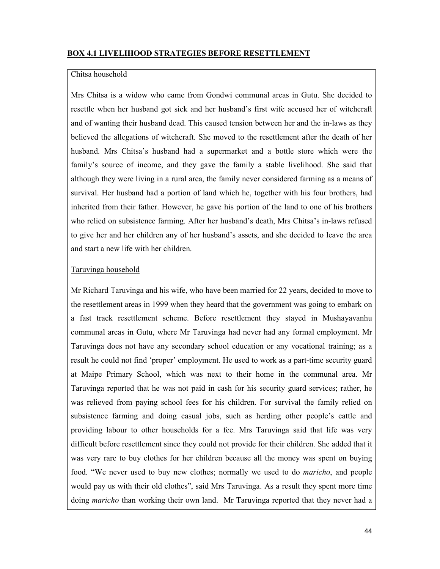### BOX 4.1 LIVELIHOOD STRATEGIES BEFORE RESETTLEMENT

#### Chitsa household

Mrs Chitsa is a widow who came from Gondwi communal areas in Gutu. She decided to resettle when her husband got sick and her husband's first wife accused her of witchcraft and of wanting their husband dead. This caused tension between her and the in-laws as they believed the allegations of witchcraft. She moved to the resettlement after the death of her husband. Mrs Chitsa's husband had a supermarket and a bottle store which were the family's source of income, and they gave the family a stable livelihood. She said that although they were living in a rural area, the family never considered farming as a means of survival. Her husband had a portion of land which he, together with his four brothers, had inherited from their father. However, he gave his portion of the land to one of his brothers who relied on subsistence farming. After her husband's death, Mrs Chitsa's in-laws refused to give her and her children any of her husband's assets, and she decided to leave the area and start a new life with her children.

#### Taruvinga household

Mr Richard Taruvinga and his wife, who have been married for 22 years, decided to move to the resettlement areas in 1999 when they heard that the government was going to embark on a fast track resettlement scheme. Before resettlement they stayed in Mushayavanhu communal areas in Gutu, where Mr Taruvinga had never had any formal employment. Mr Taruvinga does not have any secondary school education or any vocational training; as a result he could not find 'proper' employment. He used to work as a part-time security guard at Maipe Primary School, which was next to their home in the communal area. Mr Taruvinga reported that he was not paid in cash for his security guard services; rather, he was relieved from paying school fees for his children. For survival the family relied on subsistence farming and doing casual jobs, such as herding other people's cattle and providing labour to other households for a fee. Mrs Taruvinga said that life was very difficult before resettlement since they could not provide for their children. She added that it was very rare to buy clothes for her children because all the money was spent on buying food. "We never used to buy new clothes; normally we used to do maricho, and people would pay us with their old clothes", said Mrs Taruvinga. As a result they spent more time doing *maricho* than working their own land. Mr Taruvinga reported that they never had a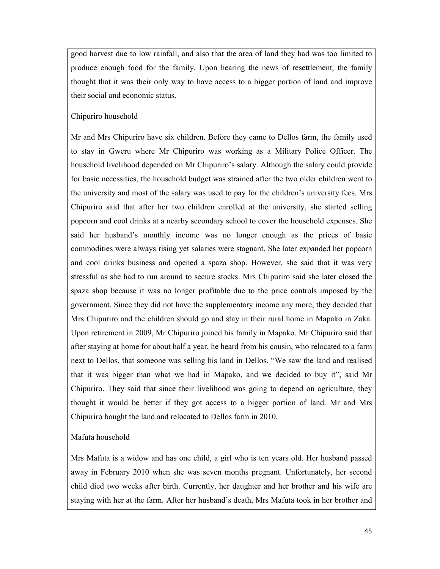good harvest due to low rainfall, and also that the area of land they had was too limited to produce enough food for the family. Upon hearing the news of resettlement, the family thought that it was their only way to have access to a bigger portion of land and improve their social and economic status.

### Chipuriro household

Mr and Mrs Chipuriro have six children. Before they came to Dellos farm, the family used to stay in Gweru where Mr Chipuriro was working as a Military Police Officer. The household livelihood depended on Mr Chipuriro's salary. Although the salary could provide for basic necessities, the household budget was strained after the two older children went to the university and most of the salary was used to pay for the children's university fees. Mrs Chipuriro said that after her two children enrolled at the university, she started selling popcorn and cool drinks at a nearby secondary school to cover the household expenses. She said her husband's monthly income was no longer enough as the prices of basic commodities were always rising yet salaries were stagnant. She later expanded her popcorn and cool drinks business and opened a spaza shop. However, she said that it was very stressful as she had to run around to secure stocks. Mrs Chipuriro said she later closed the spaza shop because it was no longer profitable due to the price controls imposed by the government. Since they did not have the supplementary income any more, they decided that Mrs Chipuriro and the children should go and stay in their rural home in Mapako in Zaka. Upon retirement in 2009, Mr Chipuriro joined his family in Mapako. Mr Chipuriro said that after staying at home for about half a year, he heard from his cousin, who relocated to a farm next to Dellos, that someone was selling his land in Dellos. "We saw the land and realised that it was bigger than what we had in Mapako, and we decided to buy it", said Mr Chipuriro. They said that since their livelihood was going to depend on agriculture, they thought it would be better if they got access to a bigger portion of land. Mr and Mrs Chipuriro bought the land and relocated to Dellos farm in 2010.

### Mafuta household

Mrs Mafuta is a widow and has one child, a girl who is ten years old. Her husband passed away in February 2010 when she was seven months pregnant. Unfortunately, her second child died two weeks after birth. Currently, her daughter and her brother and his wife are staying with her at the farm. After her husband's death, Mrs Mafuta took in her brother and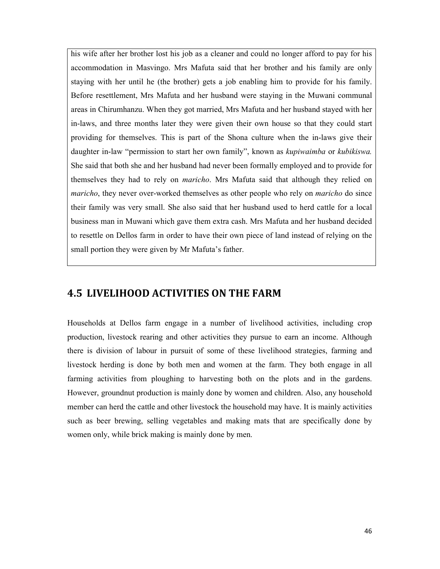his wife after her brother lost his job as a cleaner and could no longer afford to pay for his accommodation in Masvingo. Mrs Mafuta said that her brother and his family are only staying with her until he (the brother) gets a job enabling him to provide for his family. Before resettlement, Mrs Mafuta and her husband were staying in the Muwani communal areas in Chirumhanzu. When they got married, Mrs Mafuta and her husband stayed with her in-laws, and three months later they were given their own house so that they could start providing for themselves. This is part of the Shona culture when the in-laws give their daughter in-law "permission to start her own family", known as kupiwaimba or kubikiswa. She said that both she and her husband had never been formally employed and to provide for themselves they had to rely on maricho. Mrs Mafuta said that although they relied on maricho, they never over-worked themselves as other people who rely on *maricho* do since their family was very small. She also said that her husband used to herd cattle for a local business man in Muwani which gave them extra cash. Mrs Mafuta and her husband decided to resettle on Dellos farm in order to have their own piece of land instead of relying on the small portion they were given by Mr Mafuta's father.

## 4.5 LIVELIHOOD ACTIVITIES ON THE FARM

Households at Dellos farm engage in a number of livelihood activities, including crop production, livestock rearing and other activities they pursue to earn an income. Although there is division of labour in pursuit of some of these livelihood strategies, farming and livestock herding is done by both men and women at the farm. They both engage in all farming activities from ploughing to harvesting both on the plots and in the gardens. However, groundnut production is mainly done by women and children. Also, any household member can herd the cattle and other livestock the household may have. It is mainly activities such as beer brewing, selling vegetables and making mats that are specifically done by women only, while brick making is mainly done by men.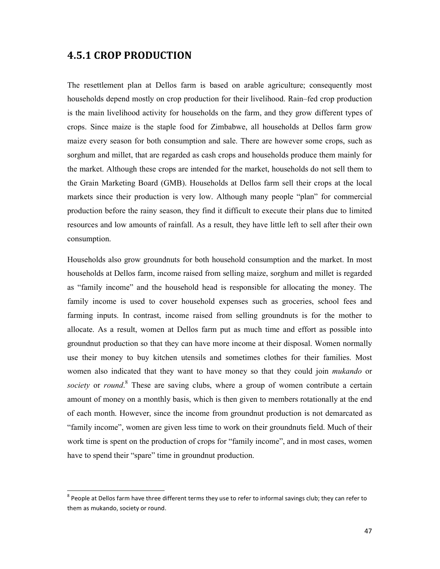### 4.5.1 CROP PRODUCTION

l,

The resettlement plan at Dellos farm is based on arable agriculture; consequently most households depend mostly on crop production for their livelihood. Rain–fed crop production is the main livelihood activity for households on the farm, and they grow different types of crops. Since maize is the staple food for Zimbabwe, all households at Dellos farm grow maize every season for both consumption and sale. There are however some crops, such as sorghum and millet, that are regarded as cash crops and households produce them mainly for the market. Although these crops are intended for the market, households do not sell them to the Grain Marketing Board (GMB). Households at Dellos farm sell their crops at the local markets since their production is very low. Although many people "plan" for commercial production before the rainy season, they find it difficult to execute their plans due to limited resources and low amounts of rainfall. As a result, they have little left to sell after their own consumption.

Households also grow groundnuts for both household consumption and the market. In most households at Dellos farm, income raised from selling maize, sorghum and millet is regarded as "family income" and the household head is responsible for allocating the money. The family income is used to cover household expenses such as groceries, school fees and farming inputs. In contrast, income raised from selling groundnuts is for the mother to allocate. As a result, women at Dellos farm put as much time and effort as possible into groundnut production so that they can have more income at their disposal. Women normally use their money to buy kitchen utensils and sometimes clothes for their families. Most women also indicated that they want to have money so that they could join *mukando* or society or round.<sup>8</sup> These are saving clubs, where a group of women contribute a certain amount of money on a monthly basis, which is then given to members rotationally at the end of each month. However, since the income from groundnut production is not demarcated as "family income", women are given less time to work on their groundnuts field. Much of their work time is spent on the production of crops for "family income", and in most cases, women have to spend their "spare" time in groundnut production.

 $^8$  People at Dellos farm have three different terms they use to refer to informal savings club; they can refer to them as mukando, society or round.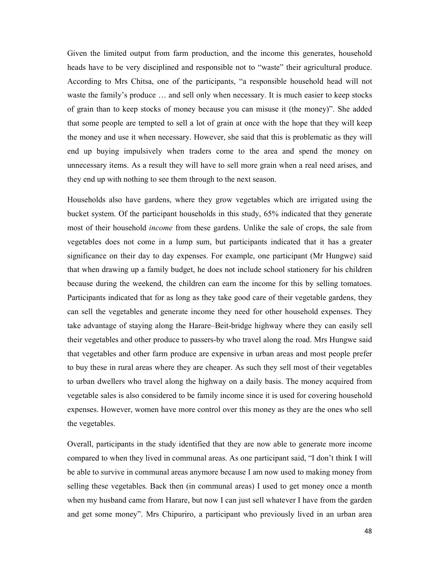Given the limited output from farm production, and the income this generates, household heads have to be very disciplined and responsible not to "waste" their agricultural produce. According to Mrs Chitsa, one of the participants, "a responsible household head will not waste the family's produce … and sell only when necessary. It is much easier to keep stocks of grain than to keep stocks of money because you can misuse it (the money)". She added that some people are tempted to sell a lot of grain at once with the hope that they will keep the money and use it when necessary. However, she said that this is problematic as they will end up buying impulsively when traders come to the area and spend the money on unnecessary items. As a result they will have to sell more grain when a real need arises, and they end up with nothing to see them through to the next season.

Households also have gardens, where they grow vegetables which are irrigated using the bucket system. Of the participant households in this study, 65% indicated that they generate most of their household *income* from these gardens. Unlike the sale of crops, the sale from vegetables does not come in a lump sum, but participants indicated that it has a greater significance on their day to day expenses. For example, one participant (Mr Hungwe) said that when drawing up a family budget, he does not include school stationery for his children because during the weekend, the children can earn the income for this by selling tomatoes. Participants indicated that for as long as they take good care of their vegetable gardens, they can sell the vegetables and generate income they need for other household expenses. They take advantage of staying along the Harare–Beit-bridge highway where they can easily sell their vegetables and other produce to passers-by who travel along the road. Mrs Hungwe said that vegetables and other farm produce are expensive in urban areas and most people prefer to buy these in rural areas where they are cheaper. As such they sell most of their vegetables to urban dwellers who travel along the highway on a daily basis. The money acquired from vegetable sales is also considered to be family income since it is used for covering household expenses. However, women have more control over this money as they are the ones who sell the vegetables.

Overall, participants in the study identified that they are now able to generate more income compared to when they lived in communal areas. As one participant said, "I don't think I will be able to survive in communal areas anymore because I am now used to making money from selling these vegetables. Back then (in communal areas) I used to get money once a month when my husband came from Harare, but now I can just sell whatever I have from the garden and get some money". Mrs Chipuriro, a participant who previously lived in an urban area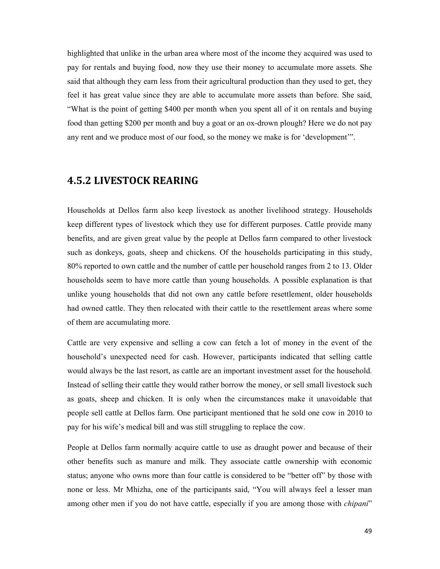highlighted that unlike in the urban area where most of the income they acquired was used to pay for rentals and buying food, now they use their money to accumulate more assets. She said that although they earn less from their agricultural production than they used to get, they feel it has great value since they are able to accumulate more assets than before. She said, "What is the point of getting \$400 per month when you spent all of it on rentals and buying food than getting \$200 per month and buy a goat or an ox-drown plough? Here we do not pay any rent and we produce most of our food, so the money we make is for 'development'".

## 4.5.2 LIVESTOCK REARING

Households at Dellos farm also keep livestock as another livelihood strategy. Households keep different types of livestock which they use for different purposes. Cattle provide many benefits, and are given great value by the people at Dellos farm compared to other livestock such as donkeys, goats, sheep and chickens. Of the households participating in this study, 80% reported to own cattle and the number of cattle per household ranges from 2 to 13. Older households seem to have more cattle than young households. A possible explanation is that unlike young households that did not own any cattle before resettlement, older households had owned cattle. They then relocated with their cattle to the resettlement areas where some of them are accumulating more.

Cattle are very expensive and selling a cow can fetch a lot of money in the event of the household's unexpected need for cash. However, participants indicated that selling cattle would always be the last resort, as cattle are an important investment asset for the household. Instead of selling their cattle they would rather borrow the money, or sell small livestock such as goats, sheep and chicken. It is only when the circumstances make it unavoidable that people sell cattle at Dellos farm. One participant mentioned that he sold one cow in 2010 to pay for his wife's medical bill and was still struggling to replace the cow.

People at Dellos farm normally acquire cattle to use as draught power and because of their other benefits such as manure and milk. They associate cattle ownership with economic status; anyone who owns more than four cattle is considered to be "better off" by those with none or less. Mr Mhizha, one of the participants said, "You will always feel a lesser man among other men if you do not have cattle, especially if you are among those with *chipani*"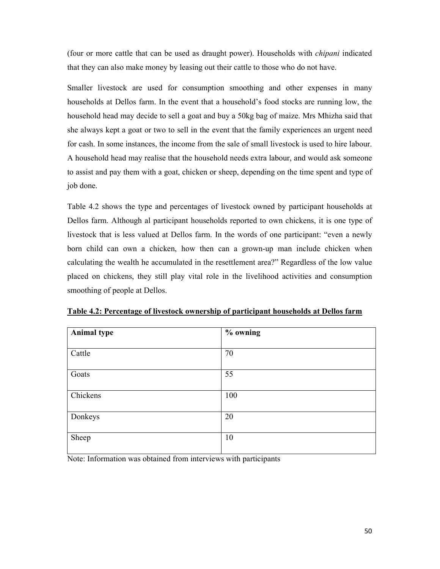(four or more cattle that can be used as draught power). Households with chipani indicated that they can also make money by leasing out their cattle to those who do not have.

Smaller livestock are used for consumption smoothing and other expenses in many households at Dellos farm. In the event that a household's food stocks are running low, the household head may decide to sell a goat and buy a 50kg bag of maize. Mrs Mhizha said that she always kept a goat or two to sell in the event that the family experiences an urgent need for cash. In some instances, the income from the sale of small livestock is used to hire labour. A household head may realise that the household needs extra labour, and would ask someone to assist and pay them with a goat, chicken or sheep, depending on the time spent and type of job done.

Table 4.2 shows the type and percentages of livestock owned by participant households at Dellos farm. Although al participant households reported to own chickens, it is one type of livestock that is less valued at Dellos farm. In the words of one participant: "even a newly born child can own a chicken, how then can a grown-up man include chicken when calculating the wealth he accumulated in the resettlement area?" Regardless of the low value placed on chickens, they still play vital role in the livelihood activities and consumption smoothing of people at Dellos.

| <b>Animal type</b> | % owning |
|--------------------|----------|
|                    |          |
| Cattle             | 70       |
|                    |          |
| Goats              | 55       |
|                    |          |
| Chickens           | 100      |
|                    |          |
| Donkeys            | 20       |
|                    |          |
| Sheep              | 10       |
|                    |          |

Table 4.2: Percentage of livestock ownership of participant households at Dellos farm

Note: Information was obtained from interviews with participants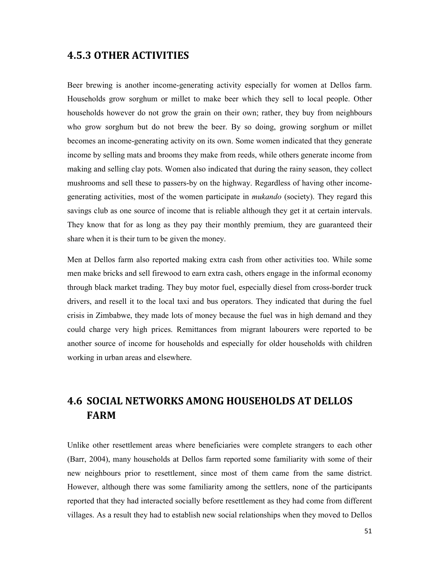### 4.5.3 OTHER ACTIVITIES

Beer brewing is another income-generating activity especially for women at Dellos farm. Households grow sorghum or millet to make beer which they sell to local people. Other households however do not grow the grain on their own; rather, they buy from neighbours who grow sorghum but do not brew the beer. By so doing, growing sorghum or millet becomes an income-generating activity on its own. Some women indicated that they generate income by selling mats and brooms they make from reeds, while others generate income from making and selling clay pots. Women also indicated that during the rainy season, they collect mushrooms and sell these to passers-by on the highway. Regardless of having other incomegenerating activities, most of the women participate in *mukando* (society). They regard this savings club as one source of income that is reliable although they get it at certain intervals. They know that for as long as they pay their monthly premium, they are guaranteed their share when it is their turn to be given the money.

Men at Dellos farm also reported making extra cash from other activities too. While some men make bricks and sell firewood to earn extra cash, others engage in the informal economy through black market trading. They buy motor fuel, especially diesel from cross-border truck drivers, and resell it to the local taxi and bus operators. They indicated that during the fuel crisis in Zimbabwe, they made lots of money because the fuel was in high demand and they could charge very high prices. Remittances from migrant labourers were reported to be another source of income for households and especially for older households with children working in urban areas and elsewhere.

## 4.6 SOCIAL NETWORKS AMONG HOUSEHOLDS AT DELLOS FARM

Unlike other resettlement areas where beneficiaries were complete strangers to each other (Barr, 2004), many households at Dellos farm reported some familiarity with some of their new neighbours prior to resettlement, since most of them came from the same district. However, although there was some familiarity among the settlers, none of the participants reported that they had interacted socially before resettlement as they had come from different villages. As a result they had to establish new social relationships when they moved to Dellos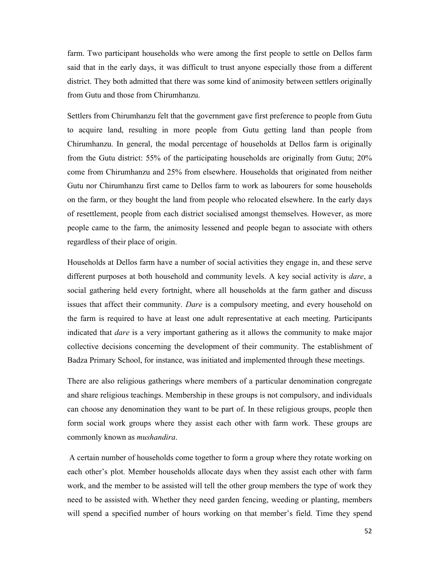farm. Two participant households who were among the first people to settle on Dellos farm said that in the early days, it was difficult to trust anyone especially those from a different district. They both admitted that there was some kind of animosity between settlers originally from Gutu and those from Chirumhanzu.

Settlers from Chirumhanzu felt that the government gave first preference to people from Gutu to acquire land, resulting in more people from Gutu getting land than people from Chirumhanzu. In general, the modal percentage of households at Dellos farm is originally from the Gutu district: 55% of the participating households are originally from Gutu; 20% come from Chirumhanzu and 25% from elsewhere. Households that originated from neither Gutu nor Chirumhanzu first came to Dellos farm to work as labourers for some households on the farm, or they bought the land from people who relocated elsewhere. In the early days of resettlement, people from each district socialised amongst themselves. However, as more people came to the farm, the animosity lessened and people began to associate with others regardless of their place of origin.

Households at Dellos farm have a number of social activities they engage in, and these serve different purposes at both household and community levels. A key social activity is *dare*, a social gathering held every fortnight, where all households at the farm gather and discuss issues that affect their community. Dare is a compulsory meeting, and every household on the farm is required to have at least one adult representative at each meeting. Participants indicated that *dare* is a very important gathering as it allows the community to make major collective decisions concerning the development of their community. The establishment of Badza Primary School, for instance, was initiated and implemented through these meetings.

There are also religious gatherings where members of a particular denomination congregate and share religious teachings. Membership in these groups is not compulsory, and individuals can choose any denomination they want to be part of. In these religious groups, people then form social work groups where they assist each other with farm work. These groups are commonly known as *mushandira*.

 A certain number of households come together to form a group where they rotate working on each other's plot. Member households allocate days when they assist each other with farm work, and the member to be assisted will tell the other group members the type of work they need to be assisted with. Whether they need garden fencing, weeding or planting, members will spend a specified number of hours working on that member's field. Time they spend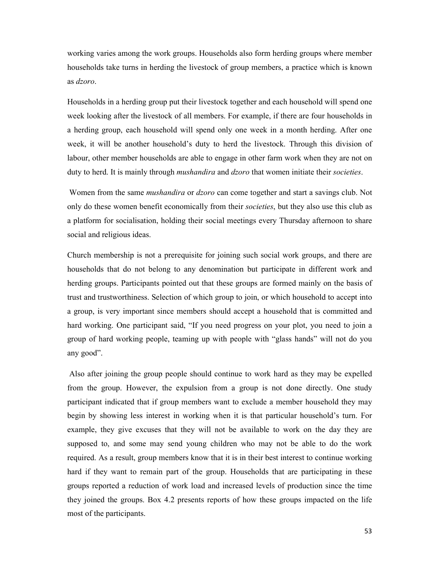working varies among the work groups. Households also form herding groups where member households take turns in herding the livestock of group members, a practice which is known as dzoro.

Households in a herding group put their livestock together and each household will spend one week looking after the livestock of all members. For example, if there are four households in a herding group, each household will spend only one week in a month herding. After one week, it will be another household's duty to herd the livestock. Through this division of labour, other member households are able to engage in other farm work when they are not on duty to herd. It is mainly through *mushandira* and *dzoro* that women initiate their *societies*.

Women from the same *mushandira* or *dzoro* can come together and start a savings club. Not only do these women benefit economically from their *societies*, but they also use this club as a platform for socialisation, holding their social meetings every Thursday afternoon to share social and religious ideas.

Church membership is not a prerequisite for joining such social work groups, and there are households that do not belong to any denomination but participate in different work and herding groups. Participants pointed out that these groups are formed mainly on the basis of trust and trustworthiness. Selection of which group to join, or which household to accept into a group, is very important since members should accept a household that is committed and hard working. One participant said, "If you need progress on your plot, you need to join a group of hard working people, teaming up with people with "glass hands" will not do you any good".

 Also after joining the group people should continue to work hard as they may be expelled from the group. However, the expulsion from a group is not done directly. One study participant indicated that if group members want to exclude a member household they may begin by showing less interest in working when it is that particular household's turn. For example, they give excuses that they will not be available to work on the day they are supposed to, and some may send young children who may not be able to do the work required. As a result, group members know that it is in their best interest to continue working hard if they want to remain part of the group. Households that are participating in these groups reported a reduction of work load and increased levels of production since the time they joined the groups. Box 4.2 presents reports of how these groups impacted on the life most of the participants.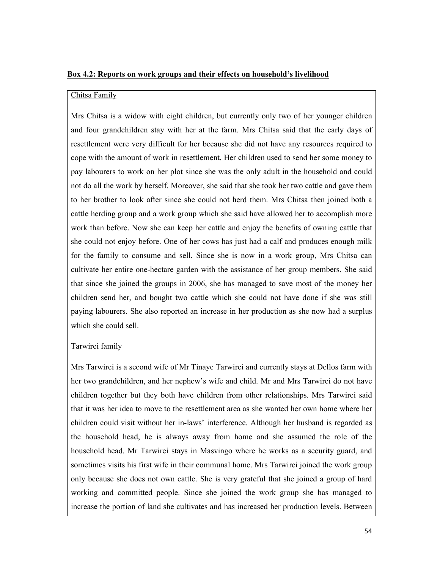#### Box 4.2: Reports on work groups and their effects on household's livelihood

#### Chitsa Family

Mrs Chitsa is a widow with eight children, but currently only two of her younger children and four grandchildren stay with her at the farm. Mrs Chitsa said that the early days of resettlement were very difficult for her because she did not have any resources required to cope with the amount of work in resettlement. Her children used to send her some money to pay labourers to work on her plot since she was the only adult in the household and could not do all the work by herself. Moreover, she said that she took her two cattle and gave them to her brother to look after since she could not herd them. Mrs Chitsa then joined both a cattle herding group and a work group which she said have allowed her to accomplish more work than before. Now she can keep her cattle and enjoy the benefits of owning cattle that she could not enjoy before. One of her cows has just had a calf and produces enough milk for the family to consume and sell. Since she is now in a work group, Mrs Chitsa can cultivate her entire one-hectare garden with the assistance of her group members. She said that since she joined the groups in 2006, she has managed to save most of the money her children send her, and bought two cattle which she could not have done if she was still paying labourers. She also reported an increase in her production as she now had a surplus which she could sell.

### Tarwirei family

Mrs Tarwirei is a second wife of Mr Tinaye Tarwirei and currently stays at Dellos farm with her two grandchildren, and her nephew's wife and child. Mr and Mrs Tarwirei do not have children together but they both have children from other relationships. Mrs Tarwirei said that it was her idea to move to the resettlement area as she wanted her own home where her children could visit without her in-laws' interference. Although her husband is regarded as the household head, he is always away from home and she assumed the role of the household head. Mr Tarwirei stays in Masvingo where he works as a security guard, and sometimes visits his first wife in their communal home. Mrs Tarwirei joined the work group only because she does not own cattle. She is very grateful that she joined a group of hard working and committed people. Since she joined the work group she has managed to increase the portion of land she cultivates and has increased her production levels. Between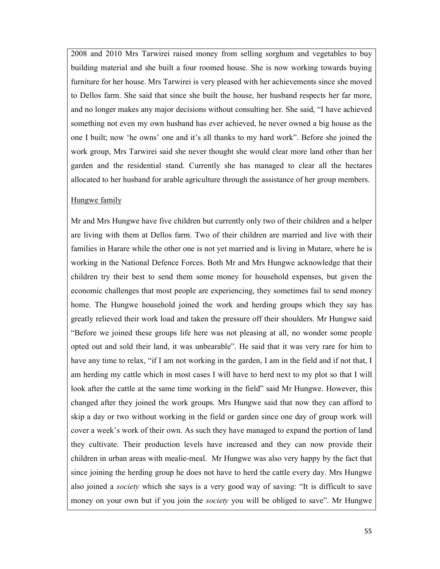2008 and 2010 Mrs Tarwirei raised money from selling sorghum and vegetables to buy building material and she built a four roomed house. She is now working towards buying furniture for her house. Mrs Tarwirei is very pleased with her achievements since she moved to Dellos farm. She said that since she built the house, her husband respects her far more, and no longer makes any major decisions without consulting her. She said, "I have achieved something not even my own husband has ever achieved, he never owned a big house as the one I built; now 'he owns' one and it's all thanks to my hard work". Before she joined the work group, Mrs Tarwirei said she never thought she would clear more land other than her garden and the residential stand. Currently she has managed to clear all the hectares allocated to her husband for arable agriculture through the assistance of her group members.

#### Hungwe family

Mr and Mrs Hungwe have five children but currently only two of their children and a helper are living with them at Dellos farm. Two of their children are married and live with their families in Harare while the other one is not yet married and is living in Mutare, where he is working in the National Defence Forces. Both Mr and Mrs Hungwe acknowledge that their children try their best to send them some money for household expenses, but given the economic challenges that most people are experiencing, they sometimes fail to send money home. The Hungwe household joined the work and herding groups which they say has greatly relieved their work load and taken the pressure off their shoulders. Mr Hungwe said "Before we joined these groups life here was not pleasing at all, no wonder some people opted out and sold their land, it was unbearable". He said that it was very rare for him to have any time to relax, "if I am not working in the garden, I am in the field and if not that, I am herding my cattle which in most cases I will have to herd next to my plot so that I will look after the cattle at the same time working in the field" said Mr Hungwe. However, this changed after they joined the work groups. Mrs Hungwe said that now they can afford to skip a day or two without working in the field or garden since one day of group work will cover a week's work of their own. As such they have managed to expand the portion of land they cultivate. Their production levels have increased and they can now provide their children in urban areas with mealie-meal. Mr Hungwe was also very happy by the fact that since joining the herding group he does not have to herd the cattle every day. Mrs Hungwe also joined a society which she says is a very good way of saving: "It is difficult to save money on your own but if you join the *society* you will be obliged to save". Mr Hungwe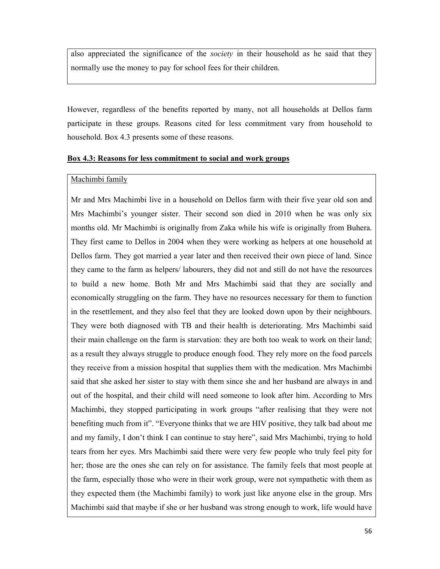also appreciated the significance of the society in their household as he said that they normally use the money to pay for school fees for their children.

However, regardless of the benefits reported by many, not all households at Dellos farm participate in these groups. Reasons cited for less commitment vary from household to household. Box 4.3 presents some of these reasons.

#### Box 4.3: Reasons for less commitment to social and work groups

#### Machimbi family

Mr and Mrs Machimbi live in a household on Dellos farm with their five year old son and Mrs Machimbi's younger sister. Their second son died in 2010 when he was only six months old. Mr Machimbi is originally from Zaka while his wife is originally from Buhera. They first came to Dellos in 2004 when they were working as helpers at one household at Dellos farm. They got married a year later and then received their own piece of land. Since they came to the farm as helpers/ labourers, they did not and still do not have the resources to build a new home. Both Mr and Mrs Machimbi said that they are socially and economically struggling on the farm. They have no resources necessary for them to function in the resettlement, and they also feel that they are looked down upon by their neighbours. They were both diagnosed with TB and their health is deteriorating. Mrs Machimbi said their main challenge on the farm is starvation: they are both too weak to work on their land; as a result they always struggle to produce enough food. They rely more on the food parcels they receive from a mission hospital that supplies them with the medication. Mrs Machimbi said that she asked her sister to stay with them since she and her husband are always in and out of the hospital, and their child will need someone to look after him. According to Mrs Machimbi, they stopped participating in work groups "after realising that they were not benefiting much from it". "Everyone thinks that we are HIV positive, they talk bad about me and my family, I don't think I can continue to stay here", said Mrs Machimbi, trying to hold tears from her eyes. Mrs Machimbi said there were very few people who truly feel pity for her; those are the ones she can rely on for assistance. The family feels that most people at the farm, especially those who were in their work group, were not sympathetic with them as they expected them (the Machimbi family) to work just like anyone else in the group. Mrs Machimbi said that maybe if she or her husband was strong enough to work, life would have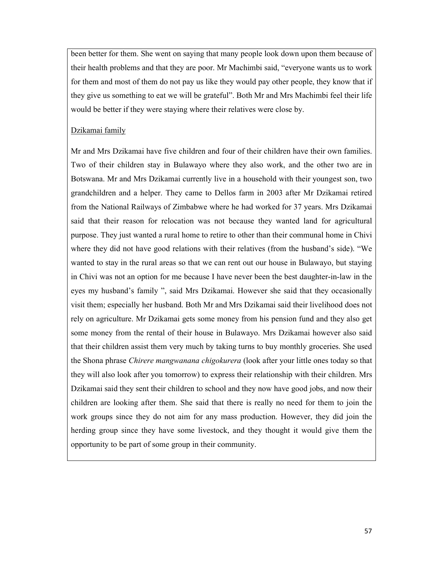been better for them. She went on saying that many people look down upon them because of their health problems and that they are poor. Mr Machimbi said, "everyone wants us to work for them and most of them do not pay us like they would pay other people, they know that if they give us something to eat we will be grateful". Both Mr and Mrs Machimbi feel their life would be better if they were staying where their relatives were close by.

### Dzikamai family

Mr and Mrs Dzikamai have five children and four of their children have their own families. Two of their children stay in Bulawayo where they also work, and the other two are in Botswana. Mr and Mrs Dzikamai currently live in a household with their youngest son, two grandchildren and a helper. They came to Dellos farm in 2003 after Mr Dzikamai retired from the National Railways of Zimbabwe where he had worked for 37 years. Mrs Dzikamai said that their reason for relocation was not because they wanted land for agricultural purpose. They just wanted a rural home to retire to other than their communal home in Chivi where they did not have good relations with their relatives (from the husband's side). "We wanted to stay in the rural areas so that we can rent out our house in Bulawayo, but staying in Chivi was not an option for me because I have never been the best daughter-in-law in the eyes my husband's family ", said Mrs Dzikamai. However she said that they occasionally visit them; especially her husband. Both Mr and Mrs Dzikamai said their livelihood does not rely on agriculture. Mr Dzikamai gets some money from his pension fund and they also get some money from the rental of their house in Bulawayo. Mrs Dzikamai however also said that their children assist them very much by taking turns to buy monthly groceries. She used the Shona phrase Chirere mangwanana chigokurera (look after your little ones today so that they will also look after you tomorrow) to express their relationship with their children. Mrs Dzikamai said they sent their children to school and they now have good jobs, and now their children are looking after them. She said that there is really no need for them to join the work groups since they do not aim for any mass production. However, they did join the herding group since they have some livestock, and they thought it would give them the opportunity to be part of some group in their community.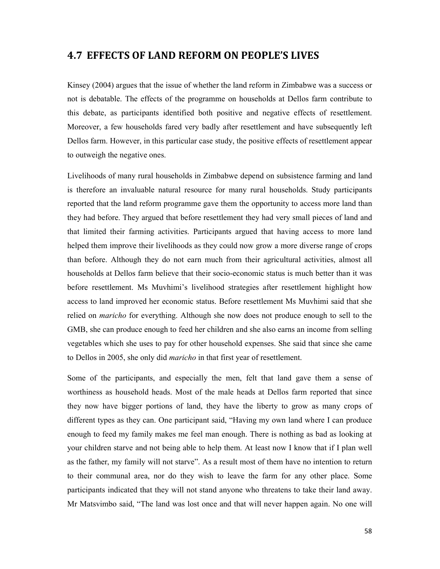### 4.7 EFFECTS OF LAND REFORM ON PEOPLE'S LIVES

Kinsey (2004) argues that the issue of whether the land reform in Zimbabwe was a success or not is debatable. The effects of the programme on households at Dellos farm contribute to this debate, as participants identified both positive and negative effects of resettlement. Moreover, a few households fared very badly after resettlement and have subsequently left Dellos farm. However, in this particular case study, the positive effects of resettlement appear to outweigh the negative ones.

Livelihoods of many rural households in Zimbabwe depend on subsistence farming and land is therefore an invaluable natural resource for many rural households. Study participants reported that the land reform programme gave them the opportunity to access more land than they had before. They argued that before resettlement they had very small pieces of land and that limited their farming activities. Participants argued that having access to more land helped them improve their livelihoods as they could now grow a more diverse range of crops than before. Although they do not earn much from their agricultural activities, almost all households at Dellos farm believe that their socio-economic status is much better than it was before resettlement. Ms Muvhimi's livelihood strategies after resettlement highlight how access to land improved her economic status. Before resettlement Ms Muvhimi said that she relied on maricho for everything. Although she now does not produce enough to sell to the GMB, she can produce enough to feed her children and she also earns an income from selling vegetables which she uses to pay for other household expenses. She said that since she came to Dellos in 2005, she only did maricho in that first year of resettlement.

Some of the participants, and especially the men, felt that land gave them a sense of worthiness as household heads. Most of the male heads at Dellos farm reported that since they now have bigger portions of land, they have the liberty to grow as many crops of different types as they can. One participant said, "Having my own land where I can produce enough to feed my family makes me feel man enough. There is nothing as bad as looking at your children starve and not being able to help them. At least now I know that if I plan well as the father, my family will not starve". As a result most of them have no intention to return to their communal area, nor do they wish to leave the farm for any other place. Some participants indicated that they will not stand anyone who threatens to take their land away. Mr Matsvimbo said, "The land was lost once and that will never happen again. No one will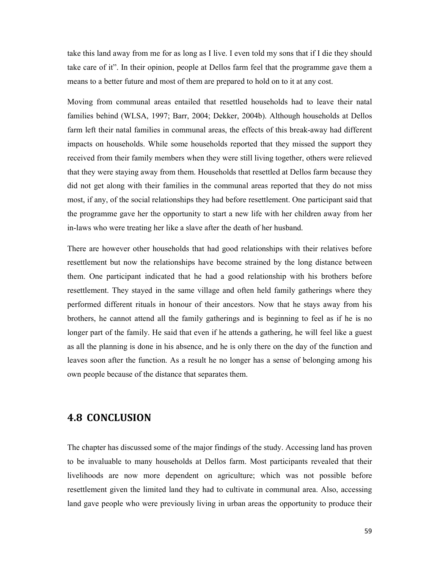take this land away from me for as long as I live. I even told my sons that if I die they should take care of it". In their opinion, people at Dellos farm feel that the programme gave them a means to a better future and most of them are prepared to hold on to it at any cost.

Moving from communal areas entailed that resettled households had to leave their natal families behind (WLSA, 1997; Barr, 2004; Dekker, 2004b). Although households at Dellos farm left their natal families in communal areas, the effects of this break-away had different impacts on households. While some households reported that they missed the support they received from their family members when they were still living together, others were relieved that they were staying away from them. Households that resettled at Dellos farm because they did not get along with their families in the communal areas reported that they do not miss most, if any, of the social relationships they had before resettlement. One participant said that the programme gave her the opportunity to start a new life with her children away from her in-laws who were treating her like a slave after the death of her husband.

There are however other households that had good relationships with their relatives before resettlement but now the relationships have become strained by the long distance between them. One participant indicated that he had a good relationship with his brothers before resettlement. They stayed in the same village and often held family gatherings where they performed different rituals in honour of their ancestors. Now that he stays away from his brothers, he cannot attend all the family gatherings and is beginning to feel as if he is no longer part of the family. He said that even if he attends a gathering, he will feel like a guest as all the planning is done in his absence, and he is only there on the day of the function and leaves soon after the function. As a result he no longer has a sense of belonging among his own people because of the distance that separates them.

### 4.8 CONCLUSION

The chapter has discussed some of the major findings of the study. Accessing land has proven to be invaluable to many households at Dellos farm. Most participants revealed that their livelihoods are now more dependent on agriculture; which was not possible before resettlement given the limited land they had to cultivate in communal area. Also, accessing land gave people who were previously living in urban areas the opportunity to produce their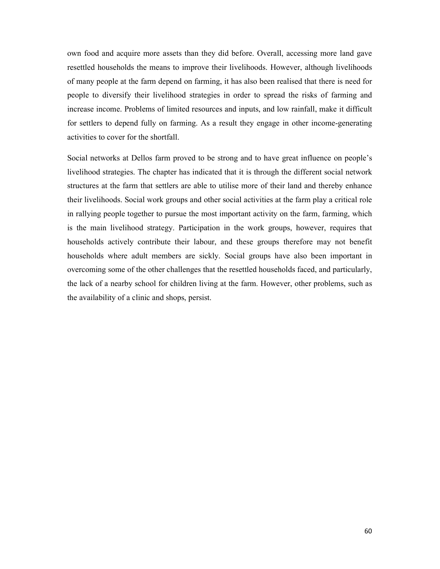own food and acquire more assets than they did before. Overall, accessing more land gave resettled households the means to improve their livelihoods. However, although livelihoods of many people at the farm depend on farming, it has also been realised that there is need for people to diversify their livelihood strategies in order to spread the risks of farming and increase income. Problems of limited resources and inputs, and low rainfall, make it difficult for settlers to depend fully on farming. As a result they engage in other income-generating activities to cover for the shortfall.

Social networks at Dellos farm proved to be strong and to have great influence on people's livelihood strategies. The chapter has indicated that it is through the different social network structures at the farm that settlers are able to utilise more of their land and thereby enhance their livelihoods. Social work groups and other social activities at the farm play a critical role in rallying people together to pursue the most important activity on the farm, farming, which is the main livelihood strategy. Participation in the work groups, however, requires that households actively contribute their labour, and these groups therefore may not benefit households where adult members are sickly. Social groups have also been important in overcoming some of the other challenges that the resettled households faced, and particularly, the lack of a nearby school for children living at the farm. However, other problems, such as the availability of a clinic and shops, persist.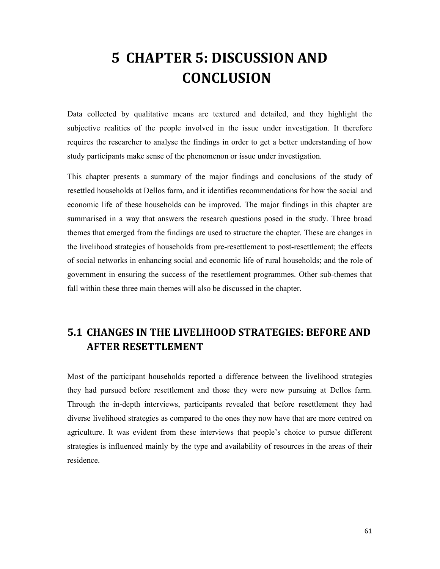# 5 CHAPTER 5: DISCUSSION AND **CONCLUSION**

Data collected by qualitative means are textured and detailed, and they highlight the subjective realities of the people involved in the issue under investigation. It therefore requires the researcher to analyse the findings in order to get a better understanding of how study participants make sense of the phenomenon or issue under investigation.

This chapter presents a summary of the major findings and conclusions of the study of resettled households at Dellos farm, and it identifies recommendations for how the social and economic life of these households can be improved. The major findings in this chapter are summarised in a way that answers the research questions posed in the study. Three broad themes that emerged from the findings are used to structure the chapter. These are changes in the livelihood strategies of households from pre-resettlement to post-resettlement; the effects of social networks in enhancing social and economic life of rural households; and the role of government in ensuring the success of the resettlement programmes. Other sub-themes that fall within these three main themes will also be discussed in the chapter.

## 5.1 CHANGES IN THE LIVELIHOOD STRATEGIES: BEFORE AND AFTER RESETTLEMENT

Most of the participant households reported a difference between the livelihood strategies they had pursued before resettlement and those they were now pursuing at Dellos farm. Through the in-depth interviews, participants revealed that before resettlement they had diverse livelihood strategies as compared to the ones they now have that are more centred on agriculture. It was evident from these interviews that people's choice to pursue different strategies is influenced mainly by the type and availability of resources in the areas of their residence.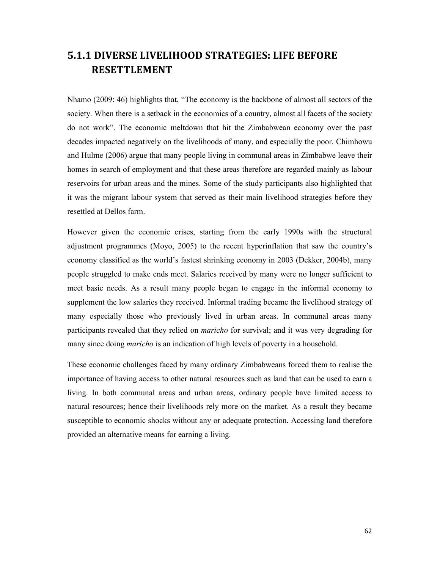## 5.1.1 DIVERSE LIVELIHOOD STRATEGIES: LIFE BEFORE RESETTLEMENT

Nhamo (2009: 46) highlights that, "The economy is the backbone of almost all sectors of the society. When there is a setback in the economics of a country, almost all facets of the society do not work". The economic meltdown that hit the Zimbabwean economy over the past decades impacted negatively on the livelihoods of many, and especially the poor. Chimhowu and Hulme (2006) argue that many people living in communal areas in Zimbabwe leave their homes in search of employment and that these areas therefore are regarded mainly as labour reservoirs for urban areas and the mines. Some of the study participants also highlighted that it was the migrant labour system that served as their main livelihood strategies before they resettled at Dellos farm.

However given the economic crises, starting from the early 1990s with the structural adjustment programmes (Moyo, 2005) to the recent hyperinflation that saw the country's economy classified as the world's fastest shrinking economy in 2003 (Dekker, 2004b), many people struggled to make ends meet. Salaries received by many were no longer sufficient to meet basic needs. As a result many people began to engage in the informal economy to supplement the low salaries they received. Informal trading became the livelihood strategy of many especially those who previously lived in urban areas. In communal areas many participants revealed that they relied on maricho for survival; and it was very degrading for many since doing *maricho* is an indication of high levels of poverty in a household.

These economic challenges faced by many ordinary Zimbabweans forced them to realise the importance of having access to other natural resources such as land that can be used to earn a living. In both communal areas and urban areas, ordinary people have limited access to natural resources; hence their livelihoods rely more on the market. As a result they became susceptible to economic shocks without any or adequate protection. Accessing land therefore provided an alternative means for earning a living.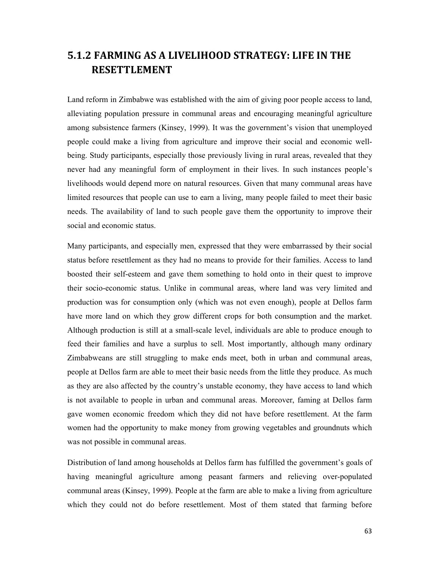## 5.1.2 FARMING AS A LIVELIHOOD STRATEGY: LIFE IN THE RESETTLEMENT

Land reform in Zimbabwe was established with the aim of giving poor people access to land, alleviating population pressure in communal areas and encouraging meaningful agriculture among subsistence farmers (Kinsey, 1999). It was the government's vision that unemployed people could make a living from agriculture and improve their social and economic wellbeing. Study participants, especially those previously living in rural areas, revealed that they never had any meaningful form of employment in their lives. In such instances people's livelihoods would depend more on natural resources. Given that many communal areas have limited resources that people can use to earn a living, many people failed to meet their basic needs. The availability of land to such people gave them the opportunity to improve their social and economic status.

Many participants, and especially men, expressed that they were embarrassed by their social status before resettlement as they had no means to provide for their families. Access to land boosted their self-esteem and gave them something to hold onto in their quest to improve their socio-economic status. Unlike in communal areas, where land was very limited and production was for consumption only (which was not even enough), people at Dellos farm have more land on which they grow different crops for both consumption and the market. Although production is still at a small-scale level, individuals are able to produce enough to feed their families and have a surplus to sell. Most importantly, although many ordinary Zimbabweans are still struggling to make ends meet, both in urban and communal areas, people at Dellos farm are able to meet their basic needs from the little they produce. As much as they are also affected by the country's unstable economy, they have access to land which is not available to people in urban and communal areas. Moreover, faming at Dellos farm gave women economic freedom which they did not have before resettlement. At the farm women had the opportunity to make money from growing vegetables and groundnuts which was not possible in communal areas.

Distribution of land among households at Dellos farm has fulfilled the government's goals of having meaningful agriculture among peasant farmers and relieving over-populated communal areas (Kinsey, 1999). People at the farm are able to make a living from agriculture which they could not do before resettlement. Most of them stated that farming before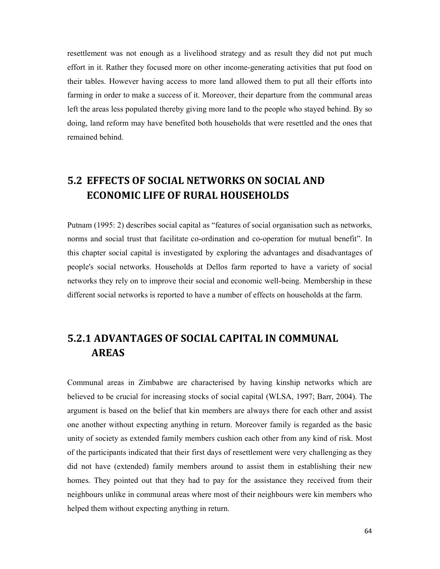resettlement was not enough as a livelihood strategy and as result they did not put much effort in it. Rather they focused more on other income-generating activities that put food on their tables. However having access to more land allowed them to put all their efforts into farming in order to make a success of it. Moreover, their departure from the communal areas left the areas less populated thereby giving more land to the people who stayed behind. By so doing, land reform may have benefited both households that were resettled and the ones that remained behind.

## 5.2 EFFECTS OF SOCIAL NETWORKS ON SOCIAL AND ECONOMIC LIFE OF RURAL HOUSEHOLDS

Putnam (1995: 2) describes social capital as "features of social organisation such as networks, norms and social trust that facilitate co-ordination and co-operation for mutual benefit". In this chapter social capital is investigated by exploring the advantages and disadvantages of people's social networks. Households at Dellos farm reported to have a variety of social networks they rely on to improve their social and economic well-being. Membership in these different social networks is reported to have a number of effects on households at the farm.

## 5.2.1 ADVANTAGES OF SOCIAL CAPITAL IN COMMUNAL AREAS

Communal areas in Zimbabwe are characterised by having kinship networks which are believed to be crucial for increasing stocks of social capital (WLSA, 1997; Barr, 2004). The argument is based on the belief that kin members are always there for each other and assist one another without expecting anything in return. Moreover family is regarded as the basic unity of society as extended family members cushion each other from any kind of risk. Most of the participants indicated that their first days of resettlement were very challenging as they did not have (extended) family members around to assist them in establishing their new homes. They pointed out that they had to pay for the assistance they received from their neighbours unlike in communal areas where most of their neighbours were kin members who helped them without expecting anything in return.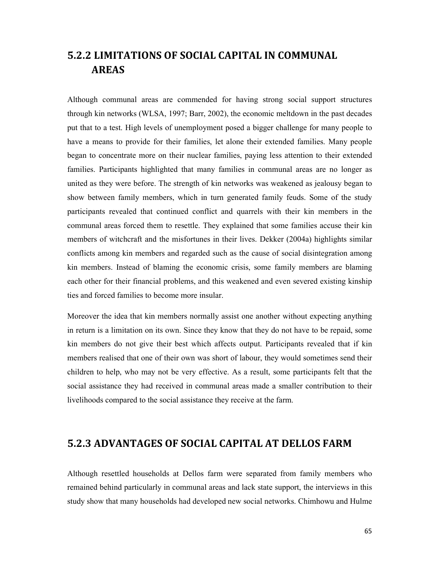# 5.2.2 LIMITATIONS OF SOCIAL CAPITAL IN COMMUNAL AREAS

Although communal areas are commended for having strong social support structures through kin networks (WLSA, 1997; Barr, 2002), the economic meltdown in the past decades put that to a test. High levels of unemployment posed a bigger challenge for many people to have a means to provide for their families, let alone their extended families. Many people began to concentrate more on their nuclear families, paying less attention to their extended families. Participants highlighted that many families in communal areas are no longer as united as they were before. The strength of kin networks was weakened as jealousy began to show between family members, which in turn generated family feuds. Some of the study participants revealed that continued conflict and quarrels with their kin members in the communal areas forced them to resettle. They explained that some families accuse their kin members of witchcraft and the misfortunes in their lives. Dekker (2004a) highlights similar conflicts among kin members and regarded such as the cause of social disintegration among kin members. Instead of blaming the economic crisis, some family members are blaming each other for their financial problems, and this weakened and even severed existing kinship ties and forced families to become more insular.

Moreover the idea that kin members normally assist one another without expecting anything in return is a limitation on its own. Since they know that they do not have to be repaid, some kin members do not give their best which affects output. Participants revealed that if kin members realised that one of their own was short of labour, they would sometimes send their children to help, who may not be very effective. As a result, some participants felt that the social assistance they had received in communal areas made a smaller contribution to their livelihoods compared to the social assistance they receive at the farm.

## 5.2.3 ADVANTAGES OF SOCIAL CAPITAL AT DELLOS FARM

Although resettled households at Dellos farm were separated from family members who remained behind particularly in communal areas and lack state support, the interviews in this study show that many households had developed new social networks. Chimhowu and Hulme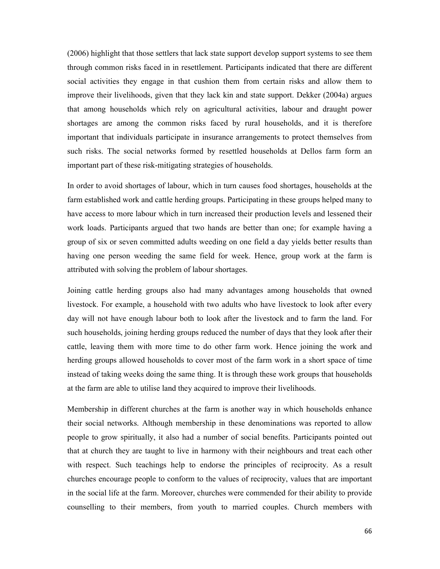(2006) highlight that those settlers that lack state support develop support systems to see them through common risks faced in in resettlement. Participants indicated that there are different social activities they engage in that cushion them from certain risks and allow them to improve their livelihoods, given that they lack kin and state support. Dekker (2004a) argues that among households which rely on agricultural activities, labour and draught power shortages are among the common risks faced by rural households, and it is therefore important that individuals participate in insurance arrangements to protect themselves from such risks. The social networks formed by resettled households at Dellos farm form an important part of these risk-mitigating strategies of households.

In order to avoid shortages of labour, which in turn causes food shortages, households at the farm established work and cattle herding groups. Participating in these groups helped many to have access to more labour which in turn increased their production levels and lessened their work loads. Participants argued that two hands are better than one; for example having a group of six or seven committed adults weeding on one field a day yields better results than having one person weeding the same field for week. Hence, group work at the farm is attributed with solving the problem of labour shortages.

Joining cattle herding groups also had many advantages among households that owned livestock. For example, a household with two adults who have livestock to look after every day will not have enough labour both to look after the livestock and to farm the land. For such households, joining herding groups reduced the number of days that they look after their cattle, leaving them with more time to do other farm work. Hence joining the work and herding groups allowed households to cover most of the farm work in a short space of time instead of taking weeks doing the same thing. It is through these work groups that households at the farm are able to utilise land they acquired to improve their livelihoods.

Membership in different churches at the farm is another way in which households enhance their social networks. Although membership in these denominations was reported to allow people to grow spiritually, it also had a number of social benefits. Participants pointed out that at church they are taught to live in harmony with their neighbours and treat each other with respect. Such teachings help to endorse the principles of reciprocity. As a result churches encourage people to conform to the values of reciprocity, values that are important in the social life at the farm. Moreover, churches were commended for their ability to provide counselling to their members, from youth to married couples. Church members with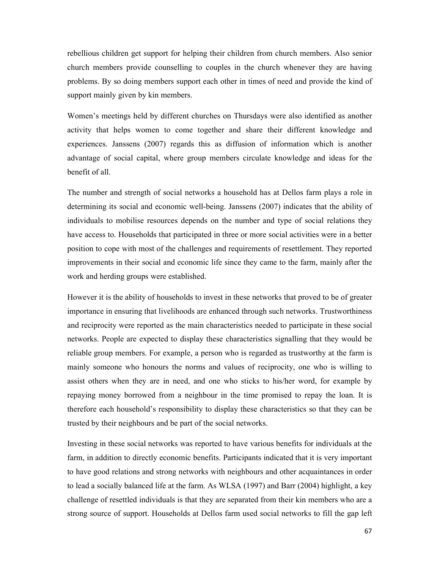rebellious children get support for helping their children from church members. Also senior church members provide counselling to couples in the church whenever they are having problems. By so doing members support each other in times of need and provide the kind of support mainly given by kin members.

Women's meetings held by different churches on Thursdays were also identified as another activity that helps women to come together and share their different knowledge and experiences. Janssens (2007) regards this as diffusion of information which is another advantage of social capital, where group members circulate knowledge and ideas for the benefit of all.

The number and strength of social networks a household has at Dellos farm plays a role in determining its social and economic well-being. Janssens (2007) indicates that the ability of individuals to mobilise resources depends on the number and type of social relations they have access to. Households that participated in three or more social activities were in a better position to cope with most of the challenges and requirements of resettlement. They reported improvements in their social and economic life since they came to the farm, mainly after the work and herding groups were established.

However it is the ability of households to invest in these networks that proved to be of greater importance in ensuring that livelihoods are enhanced through such networks. Trustworthiness and reciprocity were reported as the main characteristics needed to participate in these social networks. People are expected to display these characteristics signalling that they would be reliable group members. For example, a person who is regarded as trustworthy at the farm is mainly someone who honours the norms and values of reciprocity, one who is willing to assist others when they are in need, and one who sticks to his/her word, for example by repaying money borrowed from a neighbour in the time promised to repay the loan. It is therefore each household's responsibility to display these characteristics so that they can be trusted by their neighbours and be part of the social networks.

Investing in these social networks was reported to have various benefits for individuals at the farm, in addition to directly economic benefits. Participants indicated that it is very important to have good relations and strong networks with neighbours and other acquaintances in order to lead a socially balanced life at the farm. As WLSA (1997) and Barr (2004) highlight, a key challenge of resettled individuals is that they are separated from their kin members who are a strong source of support. Households at Dellos farm used social networks to fill the gap left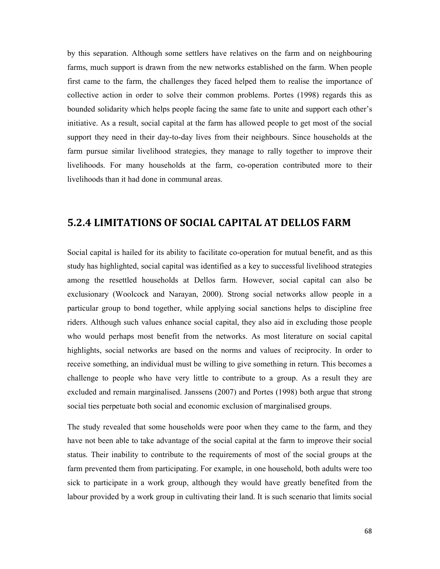by this separation. Although some settlers have relatives on the farm and on neighbouring farms, much support is drawn from the new networks established on the farm. When people first came to the farm, the challenges they faced helped them to realise the importance of collective action in order to solve their common problems. Portes (1998) regards this as bounded solidarity which helps people facing the same fate to unite and support each other's initiative. As a result, social capital at the farm has allowed people to get most of the social support they need in their day-to-day lives from their neighbours. Since households at the farm pursue similar livelihood strategies, they manage to rally together to improve their livelihoods. For many households at the farm, co-operation contributed more to their livelihoods than it had done in communal areas.

### 5.2.4 LIMITATIONS OF SOCIAL CAPITAL AT DELLOS FARM

Social capital is hailed for its ability to facilitate co-operation for mutual benefit, and as this study has highlighted, social capital was identified as a key to successful livelihood strategies among the resettled households at Dellos farm. However, social capital can also be exclusionary (Woolcock and Narayan, 2000). Strong social networks allow people in a particular group to bond together, while applying social sanctions helps to discipline free riders. Although such values enhance social capital, they also aid in excluding those people who would perhaps most benefit from the networks. As most literature on social capital highlights, social networks are based on the norms and values of reciprocity. In order to receive something, an individual must be willing to give something in return. This becomes a challenge to people who have very little to contribute to a group. As a result they are excluded and remain marginalised. Janssens (2007) and Portes (1998) both argue that strong social ties perpetuate both social and economic exclusion of marginalised groups.

The study revealed that some households were poor when they came to the farm, and they have not been able to take advantage of the social capital at the farm to improve their social status. Their inability to contribute to the requirements of most of the social groups at the farm prevented them from participating. For example, in one household, both adults were too sick to participate in a work group, although they would have greatly benefited from the labour provided by a work group in cultivating their land. It is such scenario that limits social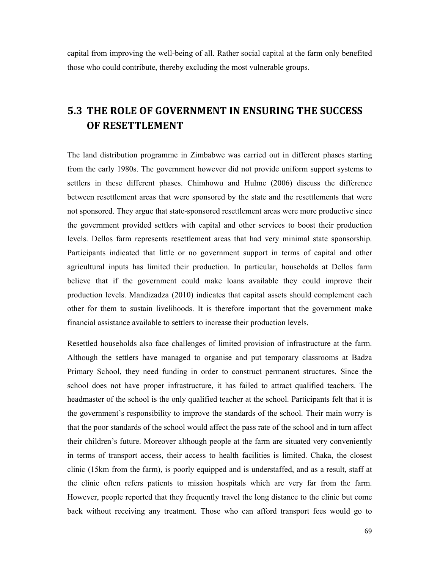capital from improving the well-being of all. Rather social capital at the farm only benefited those who could contribute, thereby excluding the most vulnerable groups.

## 5.3 THE ROLE OF GOVERNMENT IN ENSURING THE SUCCESS OF RESETTLEMENT

The land distribution programme in Zimbabwe was carried out in different phases starting from the early 1980s. The government however did not provide uniform support systems to settlers in these different phases. Chimhowu and Hulme (2006) discuss the difference between resettlement areas that were sponsored by the state and the resettlements that were not sponsored. They argue that state-sponsored resettlement areas were more productive since the government provided settlers with capital and other services to boost their production levels. Dellos farm represents resettlement areas that had very minimal state sponsorship. Participants indicated that little or no government support in terms of capital and other agricultural inputs has limited their production. In particular, households at Dellos farm believe that if the government could make loans available they could improve their production levels. Mandizadza (2010) indicates that capital assets should complement each other for them to sustain livelihoods. It is therefore important that the government make financial assistance available to settlers to increase their production levels.

Resettled households also face challenges of limited provision of infrastructure at the farm. Although the settlers have managed to organise and put temporary classrooms at Badza Primary School, they need funding in order to construct permanent structures. Since the school does not have proper infrastructure, it has failed to attract qualified teachers. The headmaster of the school is the only qualified teacher at the school. Participants felt that it is the government's responsibility to improve the standards of the school. Their main worry is that the poor standards of the school would affect the pass rate of the school and in turn affect their children's future. Moreover although people at the farm are situated very conveniently in terms of transport access, their access to health facilities is limited. Chaka, the closest clinic (15km from the farm), is poorly equipped and is understaffed, and as a result, staff at the clinic often refers patients to mission hospitals which are very far from the farm. However, people reported that they frequently travel the long distance to the clinic but come back without receiving any treatment. Those who can afford transport fees would go to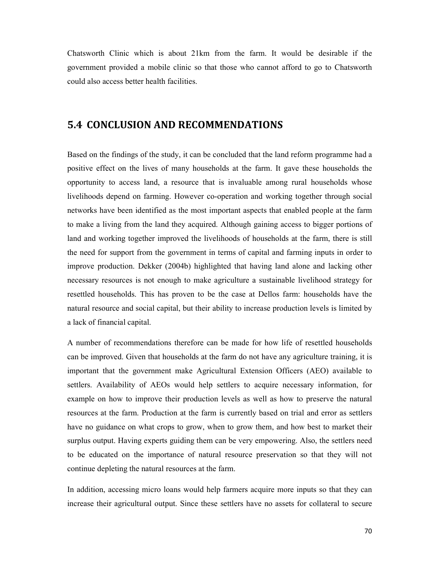Chatsworth Clinic which is about 21km from the farm. It would be desirable if the government provided a mobile clinic so that those who cannot afford to go to Chatsworth could also access better health facilities.

## 5.4 CONCLUSION AND RECOMMENDATIONS

Based on the findings of the study, it can be concluded that the land reform programme had a positive effect on the lives of many households at the farm. It gave these households the opportunity to access land, a resource that is invaluable among rural households whose livelihoods depend on farming. However co-operation and working together through social networks have been identified as the most important aspects that enabled people at the farm to make a living from the land they acquired. Although gaining access to bigger portions of land and working together improved the livelihoods of households at the farm, there is still the need for support from the government in terms of capital and farming inputs in order to improve production. Dekker (2004b) highlighted that having land alone and lacking other necessary resources is not enough to make agriculture a sustainable livelihood strategy for resettled households. This has proven to be the case at Dellos farm: households have the natural resource and social capital, but their ability to increase production levels is limited by a lack of financial capital.

A number of recommendations therefore can be made for how life of resettled households can be improved. Given that households at the farm do not have any agriculture training, it is important that the government make Agricultural Extension Officers (AEO) available to settlers. Availability of AEOs would help settlers to acquire necessary information, for example on how to improve their production levels as well as how to preserve the natural resources at the farm. Production at the farm is currently based on trial and error as settlers have no guidance on what crops to grow, when to grow them, and how best to market their surplus output. Having experts guiding them can be very empowering. Also, the settlers need to be educated on the importance of natural resource preservation so that they will not continue depleting the natural resources at the farm.

In addition, accessing micro loans would help farmers acquire more inputs so that they can increase their agricultural output. Since these settlers have no assets for collateral to secure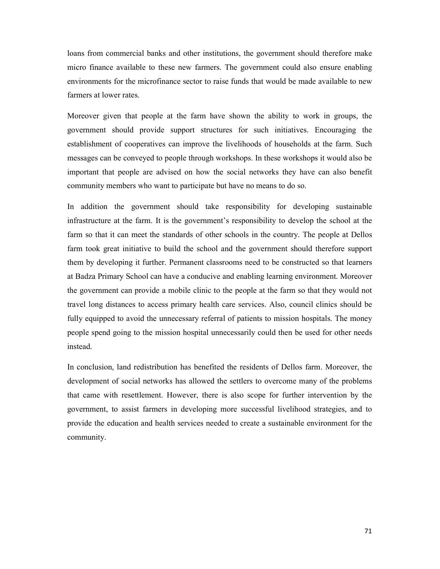loans from commercial banks and other institutions, the government should therefore make micro finance available to these new farmers. The government could also ensure enabling environments for the microfinance sector to raise funds that would be made available to new farmers at lower rates.

Moreover given that people at the farm have shown the ability to work in groups, the government should provide support structures for such initiatives. Encouraging the establishment of cooperatives can improve the livelihoods of households at the farm. Such messages can be conveyed to people through workshops. In these workshops it would also be important that people are advised on how the social networks they have can also benefit community members who want to participate but have no means to do so.

In addition the government should take responsibility for developing sustainable infrastructure at the farm. It is the government's responsibility to develop the school at the farm so that it can meet the standards of other schools in the country. The people at Dellos farm took great initiative to build the school and the government should therefore support them by developing it further. Permanent classrooms need to be constructed so that learners at Badza Primary School can have a conducive and enabling learning environment. Moreover the government can provide a mobile clinic to the people at the farm so that they would not travel long distances to access primary health care services. Also, council clinics should be fully equipped to avoid the unnecessary referral of patients to mission hospitals. The money people spend going to the mission hospital unnecessarily could then be used for other needs instead.

In conclusion, land redistribution has benefited the residents of Dellos farm. Moreover, the development of social networks has allowed the settlers to overcome many of the problems that came with resettlement. However, there is also scope for further intervention by the government, to assist farmers in developing more successful livelihood strategies, and to provide the education and health services needed to create a sustainable environment for the community.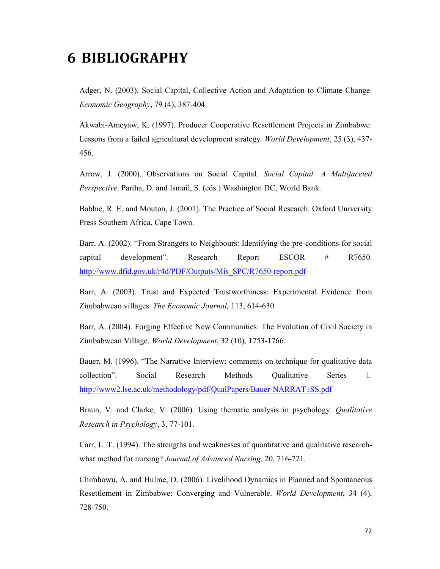# 6 BIBLIOGRAPHY

Adger, N. (2003). Social Capital, Collective Action and Adaptation to Climate Change. Economic Geography, 79 (4), 387-404.

Akwabi-Ameyaw, K. (1997). Producer Cooperative Resettlement Projects in Zimbabwe: Lessons from a failed agricultural development strategy. World Development, 25 (3), 437- 456.

Arrow, J. (2000). Observations on Social Capital. Social Capital: A Multifaceted Perspective. Partha, D. and Ismail, S. (eds.) Washington DC, World Bank.

Babbie, R. E. and Mouton, J. (2001). The Practice of Social Research. Oxford University Press Southern Africa, Cape Town.

Barr, A. (2002). "From Strangers to Neighbours: Identifying the pre-conditions for social capital development". Research Report ESCOR # R7650. http://www.dfid.gov.uk/r4d/PDF/Outputs/Mis\_SPC/R7650-report.pdf

Barr, A. (2003). Trust and Expected Trustworthiness: Experimental Evidence from Zimbabwean villages. The Economic Journal, 113, 614-630.

Barr, A. (2004). Forging Effective New Communities: The Evolution of Civil Society in Zimbabwean Village. World Development, 32 (10), 1753-1766.

Bauer, M. (1996). "The Narrative Interview: comments on technique for qualitative data collection". Social Research Methods Qualitative Series 1. http://www2.lse.ac.uk/methodology/pdf/QualPapers/Bauer-NARRAT1SS.pdf

Braun, V. and Clarke, V. (2006). Using thematic analysis in psychology. Qualitative Research in Psychology, 3, 77-101.

Carr, L. T. (1994). The strengths and weaknesses of quantitative and qualitative researchwhat method for nursing? Journal of Advanced Nursing, 20, 716-721.

Chimhowu, A. and Hulme, D. (2006). Livelihood Dynamics in Planned and Spontaneous Resettlement in Zimbabwe: Converging and Vulnerable. World Development, 34 (4), 728-750.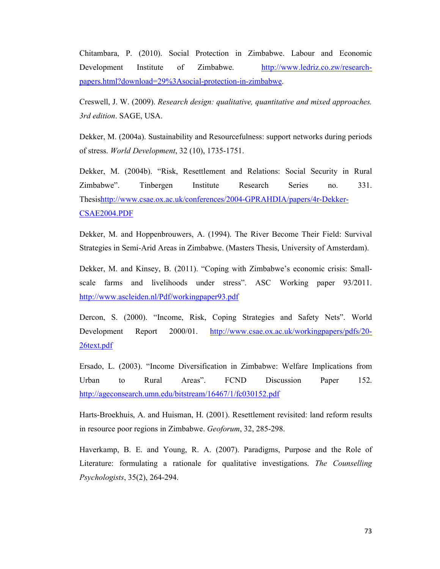Chitambara, P. (2010). Social Protection in Zimbabwe. Labour and Economic Development Institute of Zimbabwe. http://www.ledriz.co.zw/researchpapers.html?download=29%3Asocial-protection-in-zimbabwe.

Creswell, J. W. (2009). Research design: qualitative, quantitative and mixed approaches. 3rd edition. SAGE, USA.

Dekker, M. (2004a). Sustainability and Resourcefulness: support networks during periods of stress. World Development, 32 (10), 1735-1751.

Dekker, M. (2004b). "Risk, Resettlement and Relations: Social Security in Rural Zimbabwe". Tinbergen Institute Research Series no. 331. Thesishttp://www.csae.ox.ac.uk/conferences/2004-GPRAHDIA/papers/4r-Dekker-CSAE2004.PDF

Dekker, M. and Hoppenbrouwers, A. (1994). The River Become Their Field: Survival Strategies in Semi-Arid Areas in Zimbabwe. (Masters Thesis, University of Amsterdam).

Dekker, M. and Kinsey, B. (2011). "Coping with Zimbabwe's economic crisis: Smallscale farms and livelihoods under stress". ASC Working paper 93/2011. http://www.ascleiden.nl/Pdf/workingpaper93.pdf

Dercon, S. (2000). "Income, Risk, Coping Strategies and Safety Nets". World Development Report 2000/01. http://www.csae.ox.ac.uk/workingpapers/pdfs/20- 26text.pdf

Ersado, L. (2003). "Income Diversification in Zimbabwe: Welfare Implications from Urban to Rural Areas". FCND Discussion Paper 152. http://ageconsearch.umn.edu/bitstream/16467/1/fc030152.pdf

Harts-Broekhuis, A. and Huisman, H. (2001). Resettlement revisited: land reform results in resource poor regions in Zimbabwe. Geoforum, 32, 285-298.

Haverkamp, B. E. and Young, R. A. (2007). Paradigms, Purpose and the Role of Literature: formulating a rationale for qualitative investigations. The Counselling Psychologists, 35(2), 264-294.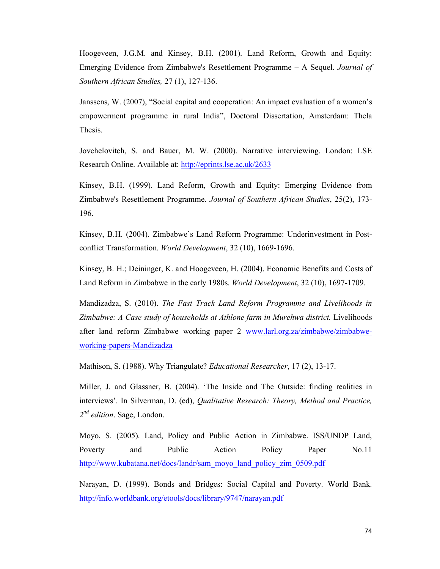Hoogeveen, J.G.M. and Kinsey, B.H. (2001). Land Reform, Growth and Equity: Emerging Evidence from Zimbabwe's Resettlement Programme – A Sequel. Journal of Southern African Studies, 27 (1), 127-136.

Janssens, W. (2007), "Social capital and cooperation: An impact evaluation of a women's empowerment programme in rural India", Doctoral Dissertation, Amsterdam: Thela Thesis.

Jovchelovitch, S. and Bauer, M. W. (2000). Narrative interviewing. London: LSE Research Online. Available at: http://eprints.lse.ac.uk/2633

Kinsey, B.H. (1999). Land Reform, Growth and Equity: Emerging Evidence from Zimbabwe's Resettlement Programme. Journal of Southern African Studies, 25(2), 173- 196.

Kinsey, B.H. (2004). Zimbabwe's Land Reform Programme: Underinvestment in Postconflict Transformation. World Development, 32 (10), 1669-1696.

Kinsey, B. H.; Deininger, K. and Hoogeveen, H. (2004). Economic Benefits and Costs of Land Reform in Zimbabwe in the early 1980s. World Development, 32 (10), 1697-1709.

Mandizadza, S. (2010). The Fast Track Land Reform Programme and Livelihoods in Zimbabwe: A Case study of households at Athlone farm in Murehwa district. Livelihoods after land reform Zimbabwe working paper 2 www.larl.org.za/zimbabwe/zimbabweworking-papers-Mandizadza

Mathison, S. (1988). Why Triangulate? Educational Researcher, 17 (2), 13-17.

Miller, J. and Glassner, B. (2004). 'The Inside and The Outside: finding realities in interviews'. In Silverman, D. (ed), Qualitative Research: Theory, Method and Practice, 2<sup>nd</sup> edition. Sage, London.

Moyo, S. (2005). Land, Policy and Public Action in Zimbabwe. ISS/UNDP Land, Poverty and Public Action Policy Paper No.11 http://www.kubatana.net/docs/landr/sam\_moyo\_land\_policy\_zim\_0509.pdf

Narayan, D. (1999). Bonds and Bridges: Social Capital and Poverty. World Bank. http://info.worldbank.org/etools/docs/library/9747/narayan.pdf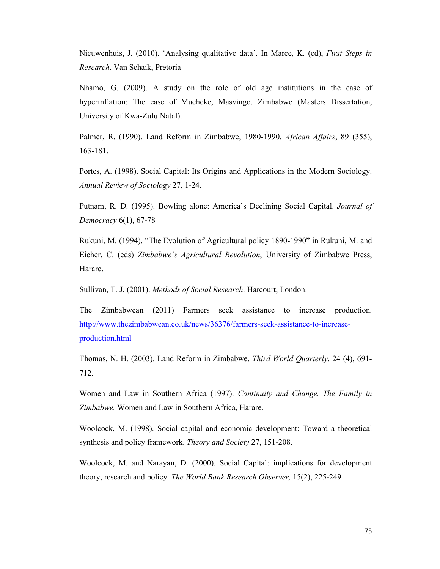Nieuwenhuis, J. (2010). 'Analysing qualitative data'. In Maree, K. (ed), First Steps in Research. Van Schaik, Pretoria

Nhamo, G. (2009). A study on the role of old age institutions in the case of hyperinflation: The case of Mucheke, Masvingo, Zimbabwe (Masters Dissertation, University of Kwa-Zulu Natal).

Palmer, R. (1990). Land Reform in Zimbabwe, 1980-1990. African Affairs, 89 (355), 163-181.

Portes, A. (1998). Social Capital: Its Origins and Applications in the Modern Sociology. Annual Review of Sociology 27, 1-24.

Putnam, R. D. (1995). Bowling alone: America's Declining Social Capital. Journal of Democracy 6(1), 67-78

Rukuni, M. (1994). "The Evolution of Agricultural policy 1890-1990" in Rukuni, M. and Eicher, C. (eds) Zimbabwe's Agricultural Revolution, University of Zimbabwe Press, Harare.

Sullivan, T. J. (2001). Methods of Social Research. Harcourt, London.

The Zimbabwean (2011) Farmers seek assistance to increase production. http://www.thezimbabwean.co.uk/news/36376/farmers-seek-assistance-to-increaseproduction.html

Thomas, N. H. (2003). Land Reform in Zimbabwe. Third World Quarterly, 24 (4), 691-712.

Women and Law in Southern Africa (1997). Continuity and Change. The Family in Zimbabwe. Women and Law in Southern Africa, Harare.

Woolcock, M. (1998). Social capital and economic development: Toward a theoretical synthesis and policy framework. Theory and Society 27, 151-208.

Woolcock, M. and Narayan, D. (2000). Social Capital: implications for development theory, research and policy. The World Bank Research Observer, 15(2), 225-249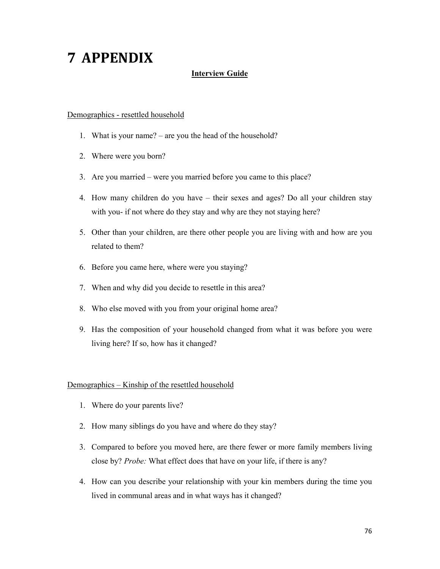# 7 APPENDIX

#### Interview Guide

#### Demographics - resettled household

- 1. What is your name? are you the head of the household?
- 2. Where were you born?
- 3. Are you married were you married before you came to this place?
- 4. How many children do you have their sexes and ages? Do all your children stay with you- if not where do they stay and why are they not staying here?
- 5. Other than your children, are there other people you are living with and how are you related to them?
- 6. Before you came here, where were you staying?
- 7. When and why did you decide to resettle in this area?
- 8. Who else moved with you from your original home area?
- 9. Has the composition of your household changed from what it was before you were living here? If so, how has it changed?

#### Demographics – Kinship of the resettled household

- 1. Where do your parents live?
- 2. How many siblings do you have and where do they stay?
- 3. Compared to before you moved here, are there fewer or more family members living close by? Probe: What effect does that have on your life, if there is any?
- 4. How can you describe your relationship with your kin members during the time you lived in communal areas and in what ways has it changed?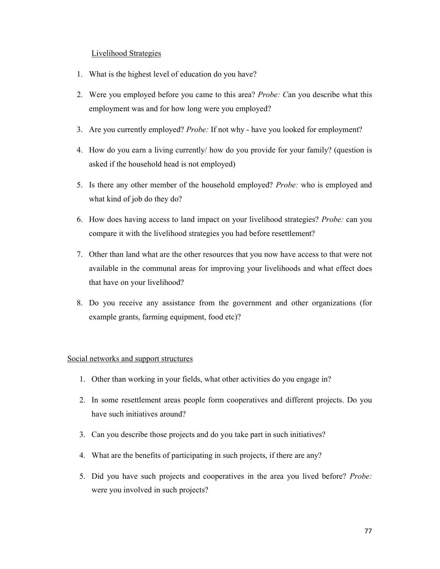#### Livelihood Strategies

- 1. What is the highest level of education do you have?
- 2. Were you employed before you came to this area? Probe: Can you describe what this employment was and for how long were you employed?
- 3. Are you currently employed? Probe: If not why have you looked for employment?
- 4. How do you earn a living currently/ how do you provide for your family? (question is asked if the household head is not employed)
- 5. Is there any other member of the household employed? Probe: who is employed and what kind of job do they do?
- 6. How does having access to land impact on your livelihood strategies? Probe: can you compare it with the livelihood strategies you had before resettlement?
- 7. Other than land what are the other resources that you now have access to that were not available in the communal areas for improving your livelihoods and what effect does that have on your livelihood?
- 8. Do you receive any assistance from the government and other organizations (for example grants, farming equipment, food etc)?

#### Social networks and support structures

- 1. Other than working in your fields, what other activities do you engage in?
- 2. In some resettlement areas people form cooperatives and different projects. Do you have such initiatives around?
- 3. Can you describe those projects and do you take part in such initiatives?
- 4. What are the benefits of participating in such projects, if there are any?
- 5. Did you have such projects and cooperatives in the area you lived before? Probe: were you involved in such projects?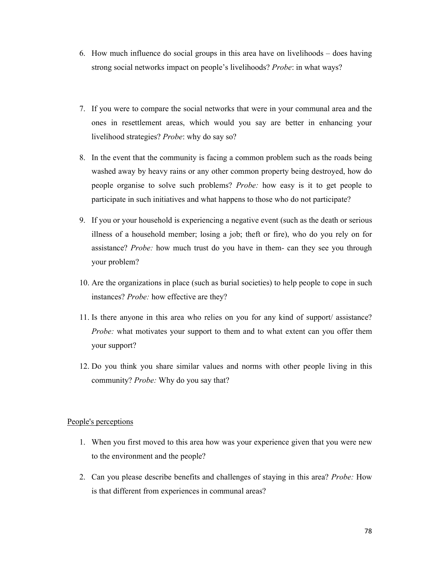- 6. How much influence do social groups in this area have on livelihoods does having strong social networks impact on people's livelihoods? Probe: in what ways?
- 7. If you were to compare the social networks that were in your communal area and the ones in resettlement areas, which would you say are better in enhancing your livelihood strategies? Probe: why do say so?
- 8. In the event that the community is facing a common problem such as the roads being washed away by heavy rains or any other common property being destroyed, how do people organise to solve such problems? Probe: how easy is it to get people to participate in such initiatives and what happens to those who do not participate?
- 9. If you or your household is experiencing a negative event (such as the death or serious illness of a household member; losing a job; theft or fire), who do you rely on for assistance? Probe: how much trust do you have in them- can they see you through your problem?
- 10. Are the organizations in place (such as burial societies) to help people to cope in such instances? Probe: how effective are they?
- 11. Is there anyone in this area who relies on you for any kind of support/ assistance? Probe: what motivates your support to them and to what extent can you offer them your support?
- 12. Do you think you share similar values and norms with other people living in this community? Probe: Why do you say that?

#### People's perceptions

- 1. When you first moved to this area how was your experience given that you were new to the environment and the people?
- 2. Can you please describe benefits and challenges of staying in this area? Probe: How is that different from experiences in communal areas?